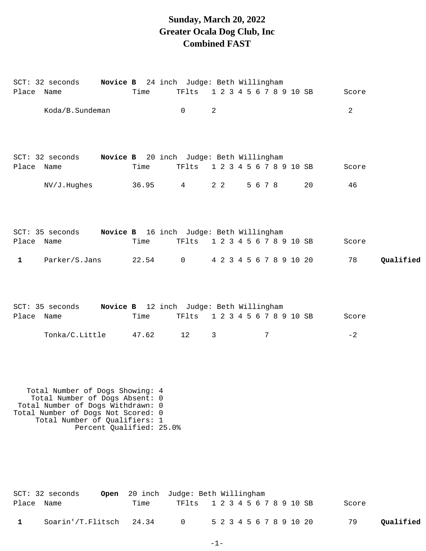## **Sunday, March 20, 2022 Greater Ocala Dog Club, Inc Combined FAST**

|              | SCT: 32 seconds Novice B 24 inch Judge: Beth Willingham                                                                                                                       |                          |       |                               |                         |         |                         |       |           |
|--------------|-------------------------------------------------------------------------------------------------------------------------------------------------------------------------------|--------------------------|-------|-------------------------------|-------------------------|---------|-------------------------|-------|-----------|
| Place Name   |                                                                                                                                                                               |                          | Time  | TFlts                         |                         |         | 1 2 3 4 5 6 7 8 9 10 SB | Score |           |
|              | Koda/B.Sundeman                                                                                                                                                               |                          |       | $\mathsf{O}$                  | 2                       |         |                         | 2     |           |
| Place Name   | SCT: 32 seconds    Novice B    20 inch    Judge: Beth Willingham                                                                                                              |                          | Time  | TFlts                         | 1 2 3 4 5 6 7 8 9 10 SB |         |                         | Score |           |
|              | NV/J.Hughes                                                                                                                                                                   |                          | 36.95 | $4\degree$                    | $2\quad 2$              | 5 6 7 8 | 20                      | 46    |           |
| Place Name   | SCT: 35 seconds Novice B 16 inch Judge: Beth Willingham                                                                                                                       |                          | Time  | TF1ts 1 2 3 4 5 6 7 8 9 10 SB |                         |         |                         | Score |           |
| $\mathbf{1}$ | Parker/S.Jans                                                                                                                                                                 |                          |       | 22.54 0                       | 4 2 3 4 5 6 7 8 9 10 20 |         |                         | 78    | Qualified |
| Place Name   | SCT: 35 seconds Novice B 12 inch Judge: Beth Willingham                                                                                                                       |                          | Time  | TF1ts 1 2 3 4 5 6 7 8 9 10 SB |                         |         |                         | Score |           |
|              | Tonka/C.Little                                                                                                                                                                |                          | 47.62 | 12                            | $\mathbf{3}$            | 7       |                         | $-2$  |           |
|              | Total Number of Dogs Showing: 4<br>Total Number of Dogs Absent: 0<br>Total Number of Dogs Withdrawn: 0<br>Total Number of Dogs Not Scored: 0<br>Total Number of Qualifiers: 1 | Percent Qualified: 25.0% |       |                               |                         |         |                         |       |           |

|            | SCT: 32 seconds         | <b>Open</b> 20 inch Judge: Beth Willingham |                               |  |  |  |  |  |                         |       |           |
|------------|-------------------------|--------------------------------------------|-------------------------------|--|--|--|--|--|-------------------------|-------|-----------|
| Place Name |                         | Time                                       | TF1ts 1 2 3 4 5 6 7 8 9 10 SB |  |  |  |  |  |                         | Score |           |
|            | Soarin'/T.Flitsch 24.34 |                                            | $\overline{a}$                |  |  |  |  |  | 5 2 3 4 5 6 7 8 9 10 20 | 79    | Qualified |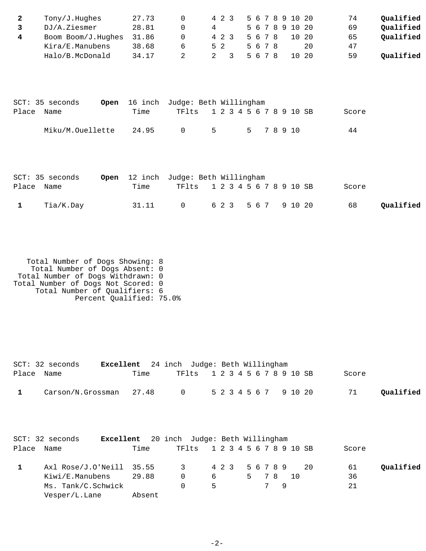| Tony/J.Hughes      | 27.73 | 4 2 3 |         | 5 6 7 8 9 10 20 |       | 74 | Qualified |
|--------------------|-------|-------|---------|-----------------|-------|----|-----------|
| DJ/A.Ziesmer       | 28.81 |       |         | 5 6 7 8 9 10 20 |       | 69 | Qualified |
| Boom Boom/J.Hughes | 31.86 | 4 2 3 | 5 6 7 8 |                 | 10 20 | 65 | Oualified |
| Kira/E.Manubens    | 38.68 | 52    | 5678    |                 | 20    | 47 |           |
| Halo/B.McDonald    | 34.17 |       | 5678    |                 | 10 20 | 59 | Oualified |

|            | SCT: 35 seconds  |       | <b>Open</b> 16 inch Judge: Beth Willingham |       |  |  |  |            |  |       |  |
|------------|------------------|-------|--------------------------------------------|-------|--|--|--|------------|--|-------|--|
| Place Name |                  | Time  | TF1ts 1 2 3 4 5 6 7 8 9 10 SB              |       |  |  |  |            |  | Score |  |
|            | Miku/M.Ouellette | 24.95 | - 0                                        | $5 -$ |  |  |  | 5 7 8 9 10 |  | 44    |  |

|              | SCT: 35 seconds |      | Open 12 inch Judge: Beth Willingham |  |  |  |  |  |       |           |
|--------------|-----------------|------|-------------------------------------|--|--|--|--|--|-------|-----------|
| Place Name   |                 | Time | TF1ts 1 2 3 4 5 6 7 8 9 10 SB       |  |  |  |  |  | Score |           |
| $\mathbf{1}$ | Tia/K.Day       |      | 31.11 0 623 567 91020               |  |  |  |  |  | 68    | Qualified |

 Total Number of Dogs Showing: 8 Total Number of Dogs Absent: 0 Total Number of Dogs Withdrawn: 0 Total Number of Dogs Not Scored: 0 Total Number of Qualifiers: 6 Percent Qualified: 75.0%

| Place | $SCT: 32$ seconds<br>Excellent<br>Name                      | Time           | 24 inch Judge: Beth Willingham<br>TFlts |        |       |  |                    |                       |   | 1 2 3 4 5 6 7 8 9 10 SB |                       | Score          |           |
|-------|-------------------------------------------------------------|----------------|-----------------------------------------|--------|-------|--|--------------------|-----------------------|---|-------------------------|-----------------------|----------------|-----------|
| 1     | Carson/N.Grossman                                           | 27.48          | $\mathbf 0$                             |        |       |  |                    |                       |   |                         | 5 2 3 4 5 6 7 9 10 20 | 71             | Qualified |
|       | SCT: 32 seconds<br>Excellent                                |                | 20 inch Judge: Beth Willingham          |        |       |  |                    |                       |   |                         |                       |                |           |
|       |                                                             |                |                                         |        |       |  |                    |                       |   |                         |                       |                |           |
| Place | Name                                                        | Time           | TFlts                                   |        |       |  |                    |                       |   | 1 2 3 4 5 6 7 8 9 10 SB |                       | Score          |           |
| 1     | Axl Rose/J.O'Neill<br>Kiwi/E.Manubens<br>Ms. Tank/C.Schwick | 35.55<br>29.88 | 3<br>$\Omega$<br>0                      | 6<br>5 | 4 2 3 |  | 5 6 7 8 9<br>$5 -$ | 78<br>$7\overline{ }$ | 9 | 10                      | 20                    | 61<br>36<br>21 | Qualified |
|       | Vesper/L.Lane                                               | Absent         |                                         |        |       |  |                    |                       |   |                         |                       |                |           |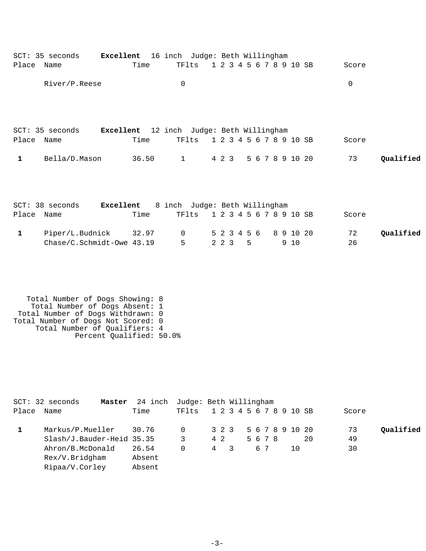|            | SCT: 35 seconds | Excellent 16 inch Judge: Beth Willingham         |              |       |                         |  |  |       |           |
|------------|-----------------|--------------------------------------------------|--------------|-------|-------------------------|--|--|-------|-----------|
| Place      | Name            | Time                                             |              | TFlts | 1 2 3 4 5 6 7 8 9 10 SB |  |  | Score |           |
|            | River/P.Reese   |                                                  | $\mathbf 0$  |       |                         |  |  | 0     |           |
| Place Name | SCT: 35 seconds | Excellent 12 inch Judge: Beth Willingham<br>Time |              | TFlts | 1 2 3 4 5 6 7 8 9 10 SB |  |  | Score |           |
| 1          | Bella/D.Mason   | 36.50                                            | $\mathbf{1}$ |       | 4 2 3 5 6 7 8 9 10 20   |  |  | 73    | Qualified |
|            |                 |                                                  |              |       |                         |  |  |       |           |

|            | $SCT: 38$ seconds           | Excellent |      | 8 inch Judge: Beth Willingham |  |         |  |  |     |       |           |
|------------|-----------------------------|-----------|------|-------------------------------|--|---------|--|--|-----|-------|-----------|
| Place Name |                             |           | Time | TF1ts 1 2 3 4 5 6 7 8 9 10 SB |  |         |  |  |     | Score |           |
|            | Piper/L.Budnick 32.97       |           |      | 0 5 2 3 4 5 6 8 9 10 20       |  |         |  |  |     | 72    | Qualified |
|            | $Chase/C.Schmidt-Owe 43.19$ |           |      | $5 - 5$                       |  | 2 2 3 5 |  |  | 910 | 26    |           |

 Total Number of Dogs Showing: 8 Total Number of Dogs Absent: 1 Total Number of Dogs Withdrawn: 0 Total Number of Dogs Not Scored: 0 Total Number of Qualifiers: 4 Percent Qualified: 50.0%

|       | $SCT: 32$ seconds<br>Master | 24 inch Judge: Beth Willingham |       |                         |  |      |    |  |     |    |       |           |
|-------|-----------------------------|--------------------------------|-------|-------------------------|--|------|----|--|-----|----|-------|-----------|
| Place | Name                        | Time                           | TF1ts | 1 2 3 4 5 6 7 8 9 10 SB |  |      |    |  |     |    | Score |           |
|       | Markus/P.Mueller            | 30.76                          | 0     | 3 2 3 5 6 7 8 9 10 20   |  |      |    |  |     |    | 73    | Qualified |
|       | Slash/J.Bauder-Heid 35.35   |                                | 3     | 4 2                     |  | 5678 |    |  |     | 20 | 49    |           |
|       | Ahron/B.McDonald            | 26.54                          | 0     | 4 3                     |  |      | 67 |  | 1 O |    | 30    |           |
|       | Rex/V.Bridgham              | Absent                         |       |                         |  |      |    |  |     |    |       |           |
|       | Ripaa/V.Corley              | Absent                         |       |                         |  |      |    |  |     |    |       |           |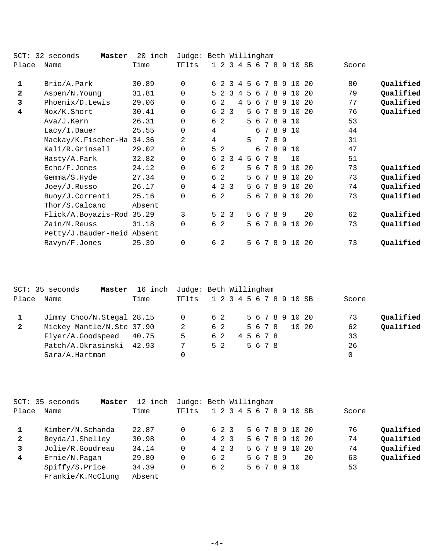| $SCT$ :      | 32 seconds<br>Master       | 20 inch | Judge: Beth Willingham |                     |                |     |     |     |                 |    |    |                     |     |       |           |
|--------------|----------------------------|---------|------------------------|---------------------|----------------|-----|-----|-----|-----------------|----|----|---------------------|-----|-------|-----------|
| Place        | Name                       | Time    | TFlts                  | $1\quad2$           |                |     |     |     |                 |    |    | 3 4 5 6 7 8 9 10 SB |     | Score |           |
| 1            | Brio/A.Park                | 30.89   | $\mathbf 0$            | $\overline{a}$<br>6 | 3              | 4   | 5   | 6   | 7               | 8  | 9  | 10                  | 20  | 80    | Qualified |
| $\mathbf{2}$ | Aspen/N.Young              | 31.81   | $\Omega$               | $5 \t2$             | 3              | 4   | 5   | 6   | 7               | 8  | 9  | 10                  | 20  | 79    | Qualified |
| 3            | $Phoenix/D.$ Lewis         | 29.06   | 0                      | -2<br>6             |                |     | 4 5 | 6   | 7               | 8  | 9  | 10                  | 20  | 77    | Qualified |
| 4            | Nox/K.Short                | 30.41   | 0                      | 2 3<br>6            |                |     |     | 5 6 | 7               | 8  | 9  | 10                  | 20  | 76    | Qualified |
|              | Ava/J.Kern                 | 26.31   | 0                      | 2<br>6              |                |     | 5   | 6   | 7               | 8  | 9  | 10                  |     | 53    |           |
|              | Lacy/I.Dauer               | 25.55   | 0                      | 4                   |                |     |     | 6   | 7               | 8  |    | 9 10                |     | 44    |           |
|              | Mackay/K.Fischer-Ha        | 34.36   | 2                      | 4                   |                |     | 5   |     | 7               | 89 |    |                     |     | 31    |           |
|              | Kali/R.Grinsell            | 29.02   | 0                      | 5<br>$\overline{a}$ |                |     |     | 6   | $7\overline{ }$ | 8  | -9 | 10                  |     | 47    |           |
|              | Hasty/A.Park               | 32.82   | 0                      | 6 2                 |                | 3 4 | 5 6 |     | 7               | -8 |    | 10                  |     | 51    |           |
|              | Echo/F.Jones               | 24.12   | 0                      | 2<br>6              |                |     | 5   | 6   | 7               | 8  | 9  | 10                  | 20  | 73    | Qualified |
|              | Gemma/S.Hyde               | 27.34   | 0                      | -2<br>6             |                |     | 5   | 6   | 7               | 8  | 9  | 10                  | 20  | 73    | Qualified |
|              | Joey/J.Russo               | 26.17   | 0                      | 4                   | 2 <sub>3</sub> |     | 5.  | 6   | 7               | 8  | 9  | 10                  | 20  | 74    | Qualified |
|              | Buoy/J.Correnti            | 25.16   | 0                      | 2<br>6              |                |     |     |     |                 |    |    | 5 6 7 8 9 10        | -20 | 73    | Qualified |
|              | Thor/S.Calcano             | Absent  |                        |                     |                |     |     |     |                 |    |    |                     |     |       |           |
|              | Flick/A.Boyazis-Rod 35.29  |         | 3                      | $5 \t2 \t3$         |                |     | 5   | -6  | 7               | 89 |    |                     | 20  | 62    | Qualified |
|              | Zain/M.Reuss               | 31.18   | 0                      | -2<br>6             |                |     | 5   | 6   | 7               | 8  | 9  | 10                  | 20  | 73    | Qualified |
|              | Petty/J.Bauder-Heid Absent |         |                        |                     |                |     |     |     |                 |    |    |                     |     |       |           |
|              | Ravyn/F.Jones              | 25.39   | 0                      | 2<br>6              |                |     | 5   | 6   | 7               | 8  |    | 9 10                | 20  | 73    | Qualified |

|              | SCT: 35 seconds<br>Master | 16 inch | Judge: Beth Willingham |                         |     |           |      |  |  |                 |       |           |
|--------------|---------------------------|---------|------------------------|-------------------------|-----|-----------|------|--|--|-----------------|-------|-----------|
| Place        | Name                      | Time    | TFlts                  | 1 2 3 4 5 6 7 8 9 10 SB |     |           |      |  |  |                 | Score |           |
|              | Jimmy Choo/N.Stegal 28.15 |         | $\Omega$               |                         | 6 2 |           |      |  |  | 5 6 7 8 9 10 20 | 73    | Oualified |
| $\mathbf{2}$ | Mickey Mantle/N.Ste 37.90 |         | 2                      |                         | 62  |           | 5678 |  |  | 10 20           | 62    | Qualified |
|              | Flyer/A.Goodspeed 40.75   |         | 5                      |                         | 62  | 4 5 6 7 8 |      |  |  |                 | 33    |           |
|              | Patch/A.Okrasinski        | 42.93   |                        |                         | 5 2 |           | 5678 |  |  |                 | 26    |           |
|              | Sara/A.Hartman            |         |                        |                         |     |           |      |  |  |                 |       |           |

|              | SCT: 35 seconds<br>Master | 12 inch | Judge: Beth Willingham |       |  |  |           |  |                         |    |       |           |
|--------------|---------------------------|---------|------------------------|-------|--|--|-----------|--|-------------------------|----|-------|-----------|
| Place        | Name                      | Time    | TFlts                  |       |  |  |           |  | 1 2 3 4 5 6 7 8 9 10 SB |    | Score |           |
|              | Kimber/N.Schanda          | 22.87   | 0                      | 6 2 3 |  |  |           |  | 5 6 7 8 9 10 20         |    | 76    | Qualified |
| $\mathbf{2}$ | Beyda/J.Shelley           | 30.98   | 0                      | 4 2 3 |  |  |           |  | 5 6 7 8 9 10 20         |    | 74    | Qualified |
| $\mathbf{3}$ | Jolie/R.Goudreau          | 34.14   | 0                      | 4 2 3 |  |  |           |  | 5 6 7 8 9 10 20         |    | 74    | Qualified |
| 4            | Ernie/N.Pagan             | 29.80   | 0                      | 62    |  |  | 5 6 7 8 9 |  |                         | 20 | 63    | Qualified |
|              | Spiffy/S.Price            | 34.39   |                        | 6 2   |  |  |           |  | 5 6 7 8 9 10            |    | 53    |           |
|              | Frankie/K.McClunq         | Absent  |                        |       |  |  |           |  |                         |    |       |           |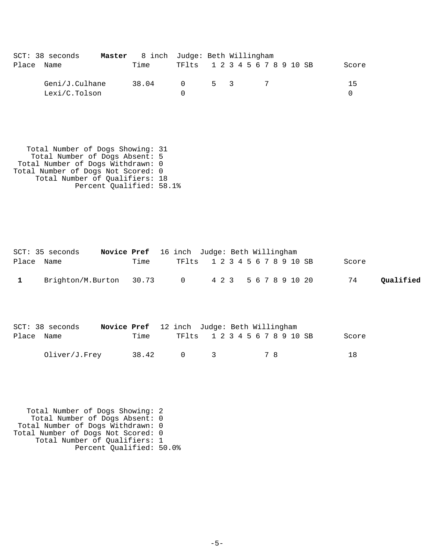|       | $SCT: 38$ seconds | Master 8 inch Judge: Beth Willingham |                               |     |  |  |  |  |       |
|-------|-------------------|--------------------------------------|-------------------------------|-----|--|--|--|--|-------|
| Place | Name              | Time                                 | TF1ts 1 2 3 4 5 6 7 8 9 10 SB |     |  |  |  |  | Score |
|       | Geni/J.Culhane    | 38.04                                | $\Omega$                      | 5 3 |  |  |  |  | 15    |
|       | Lexi/C.Tolson     |                                      |                               |     |  |  |  |  |       |

 Total Number of Dogs Showing: 31 Total Number of Dogs Absent: 5 Total Number of Dogs Withdrawn: 0 Total Number of Dogs Not Scored: 0 Total Number of Qualifiers: 18 Percent Qualified: 58.1%

|            | SCT: 35 seconds         |      | Novice Pref 16 inch Judge: Beth Willingham |  |                               |       |           |
|------------|-------------------------|------|--------------------------------------------|--|-------------------------------|-------|-----------|
| Place Name |                         | Time |                                            |  | TF1ts 1 2 3 4 5 6 7 8 9 10 SB | Score |           |
|            | Brighton/M.Burton 30.73 |      | $\overline{0}$                             |  | 4 2 3 5 6 7 8 9 10 20         | 74    | Oualified |

|            | $SCT: 38$ seconds | Novice Pref 12 inch Judge: Beth Willingham |       |                               |               |  |  |     |  |  |       |
|------------|-------------------|--------------------------------------------|-------|-------------------------------|---------------|--|--|-----|--|--|-------|
| Place Name |                   |                                            | Time  | TF1ts 1 2 3 4 5 6 7 8 9 10 SB |               |  |  |     |  |  | Score |
|            | Oliver/J.Frey     |                                            | 38.42 | n 1                           | $\mathcal{R}$ |  |  | 7 R |  |  | 18    |

 Total Number of Dogs Showing: 2 Total Number of Dogs Absent: 0 Total Number of Dogs Withdrawn: 0 Total Number of Dogs Not Scored: 0 Total Number of Qualifiers: 1 Percent Qualified: 50.0%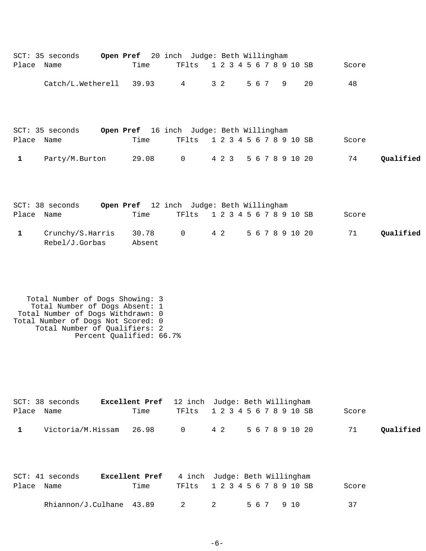| Place Name   | SCT: 35 seconds                                                                                                                                                               | Open Pref 20 inch Judge: Beth Willingham<br>Time | TFlts                                   |   | 1 2 3 4 5 6 7 8 9 10 SB |       |         |                 |    | Score |           |
|--------------|-------------------------------------------------------------------------------------------------------------------------------------------------------------------------------|--------------------------------------------------|-----------------------------------------|---|-------------------------|-------|---------|-----------------|----|-------|-----------|
|              | Catch/L.Wetherell 39.93 4                                                                                                                                                     |                                                  |                                         |   | $3\quad2$               |       | 5 6 7 9 |                 | 20 | 48    |           |
| Place Name   | SCT: 35 seconds                                                                                                                                                               | Open Pref 16 inch Judge: Beth Willingham<br>Time | TFlts                                   |   | 1 2 3 4 5 6 7 8 9 10 SB |       |         |                 |    | Score |           |
| $\mathbf{1}$ | Party/M.Burton                                                                                                                                                                |                                                  | 29.08 0 4 2 3 5 6 7 8 9 10 20           |   |                         |       |         |                 |    | 74    | Qualified |
| Place Name   | SCT: 38 seconds                                                                                                                                                               | Open Pref 12 inch Judge: Beth Willingham<br>Time | TFlts                                   |   | 1 2 3 4 5 6 7 8 9 10 SB |       |         |                 |    | Score |           |
| $\mathbf{1}$ | Crunchy/S.Harris<br>Rebel/J.Gorbas                                                                                                                                            | 30.78 0<br>Absent                                |                                         |   | 4 2                     |       |         | 5 6 7 8 9 10 20 |    | 71    | Qualified |
|              | Total Number of Dogs Showing: 3<br>Total Number of Dogs Absent: 1<br>Total Number of Dogs Withdrawn: 0<br>Total Number of Dogs Not Scored: 0<br>Total Number of Qualifiers: 2 | Percent Qualified: 66.7%                         |                                         |   |                         |       |         |                 |    |       |           |
| Place Name   | $SCT: 38$ seconds                                                                                                                                                             | <b>Excellent Pref</b><br>Time                    | 12 inch Judge: Beth Willingham<br>TFlts |   | 1 2 3 4 5 6 7 8 9 10 SB |       |         |                 |    | Score |           |
| $\mathbf{1}$ | Victoria/M.Hissam                                                                                                                                                             | 26.98                                            | $\overline{0}$                          |   | 4 2                     |       |         | 5 6 7 8 9 10 20 |    | 71    | Qualified |
| Place        | SCT: 41 seconds<br>Name                                                                                                                                                       | Excellent Pref<br>Time                           | 4 inch Judge: Beth Willingham<br>TFlts  |   | 1 2 3 4 5 6 7 8 9 10 SB |       |         |                 |    | Score |           |
|              | Rhiannon/J.Culhane 43.89                                                                                                                                                      |                                                  | 2                                       | 2 |                         | 5 6 7 |         | 9 10            |    | 37    |           |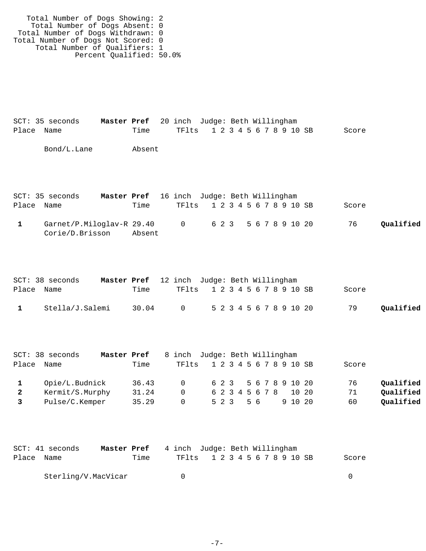Total Number of Dogs Showing: 2 Total Number of Dogs Absent: 0 Total Number of Dogs Withdrawn: 0 Total Number of Dogs Not Scored: 0 Total Number of Qualifiers: 1 Percent Qualified: 50.0%

SCT: 35 seconds **Master Pref** 20 inch Judge: Beth Willingham Place Name Time TFlts 1 2 3 4 5 6 7 8 9 10 SB Score Bond/L.Lane Absent SCT: 35 seconds **Master Pref** 16 inch Judge: Beth Willingham

| Place | Name                      | Time   | TF1ts 1 2 3 4 5 6 7 8 9 10 SB |  |  |  |  |  |                       | Score |           |
|-------|---------------------------|--------|-------------------------------|--|--|--|--|--|-----------------------|-------|-----------|
|       | Garnet/P.Miloglav-R 29.40 |        | $\cap$                        |  |  |  |  |  | 6 2 3 5 6 7 8 9 10 20 | 76    | Oualified |
|       | Corie/D.Brisson           | Absent |                               |  |  |  |  |  |                       |       |           |

|              | SCT: 38 seconds | Master Pref 12 inch Judge: Beth Willingham |                               |                         |  |  |  |  |  |       |           |
|--------------|-----------------|--------------------------------------------|-------------------------------|-------------------------|--|--|--|--|--|-------|-----------|
| Place Name   |                 | Time                                       | TF1ts 1 2 3 4 5 6 7 8 9 10 SB |                         |  |  |  |  |  | Score |           |
| $\mathbf{1}$ | Stella/J.Salemi | 30.04                                      | $\overline{0}$                | 5 2 3 4 5 6 7 8 9 10 20 |  |  |  |  |  | 79    | Qualified |

|              | $SCT: 38$ seconds | Master Pref |          | 8 inch Judge: Beth Willingham |       |  |                       |  |         |       |           |
|--------------|-------------------|-------------|----------|-------------------------------|-------|--|-----------------------|--|---------|-------|-----------|
| Place        | Name              | Time        |          | TF1ts 1 2 3 4 5 6 7 8 9 10 SB |       |  |                       |  |         | Score |           |
|              | Opie/L.Budnick    | 36.43       |          | $\Omega$                      |       |  | 6 2 3 5 6 7 8 9 10 20 |  |         | 76    | Oualified |
| $\mathbf{2}$ | Kermit/S.Murphy   | 31.24       | $\Omega$ |                               |       |  | 6 2 3 4 5 6 7 8       |  | 10 20   | 71    | Oualified |
|              | Pulse/C.Kemper    | 35.29       | $\Omega$ |                               | 5 2 3 |  | 56                    |  | 9 10 20 | 60    | Qualified |

|            | SCT: 41 seconds     | Master Pref |      | 4 inch Judge: Beth Willingham |  |  |  |  |  |  |       |  |
|------------|---------------------|-------------|------|-------------------------------|--|--|--|--|--|--|-------|--|
| Place Name |                     |             | Time | TF1ts 1 2 3 4 5 6 7 8 9 10 SB |  |  |  |  |  |  | Score |  |
|            | Sterling/V.MacVicar |             |      | - 61                          |  |  |  |  |  |  |       |  |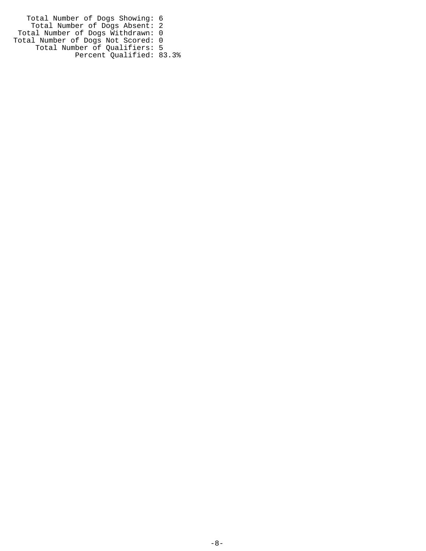Total Number of Dogs Showing: 6 Total Number of Dogs Absent: 2 Total Number of Dogs Withdrawn: 0 Total Number of Dogs Not Scored: 0 Total Number of Qualifiers: 5 Percent Qualified: 83.3%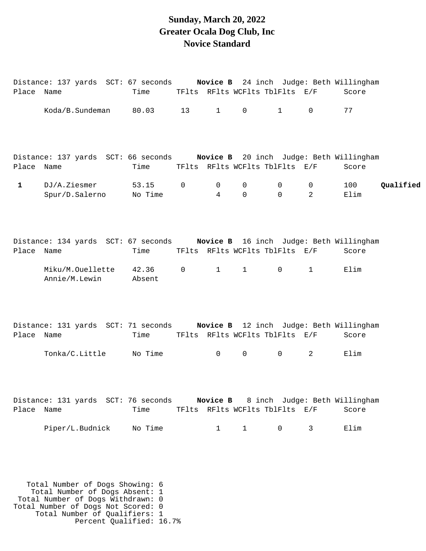#### **Sunday, March 20, 2022 Greater Ocala Dog Club, Inc Novice Standard**

|              | Distance: 137 yards SCT: 67 seconds                                         |                  |                     |              |               |                                |                                | Novice B 24 inch Judge: Beth Willingham |           |
|--------------|-----------------------------------------------------------------------------|------------------|---------------------|--------------|---------------|--------------------------------|--------------------------------|-----------------------------------------|-----------|
| Place Name   |                                                                             | Time             |                     |              |               | TFlts RFlts WCFlts TblFlts E/F |                                | Score                                   |           |
|              | Koda/B.Sundeman                                                             | 80.03            | 13                  | $\mathbf{1}$ | $\mathsf{O}$  | $\mathbf{1}$                   | $\Omega$                       | 77                                      |           |
|              | Distance: 137 yards SCT: 66 seconds Novice B 20 inch Judge: Beth Willingham |                  |                     |              |               |                                |                                |                                         |           |
| Place Name   |                                                                             | Time             |                     |              |               | TFlts RFlts WCFlts TblFlts E/F |                                | Score                                   |           |
| $\mathbf{1}$ | DJ/A.Ziesmer<br>Spur/D.Salerno                                              | 53.15<br>No Time | $\mathsf{O}\xspace$ | 0<br>4       | 0<br>$\Omega$ | 0<br>$\Omega$                  | $\mathsf{O}$<br>$\overline{2}$ | 100<br>Elim                             | Qualified |
| Place Name   | Distance: 134 yards SCT: 67 seconds Novice B 16 inch Judge: Beth Willingham | Time             |                     |              |               | TFlts RFlts WCFlts TblFlts E/F |                                | Score                                   |           |
|              | Miku/M.Ouellette<br>Annie/M.Lewin                                           | 42.36<br>Absent  | $\overline{0}$      | $\mathbf{1}$ | $\mathbf{1}$  | $\mathbf 0$                    | $\mathbf{1}$                   | Elim                                    |           |
| Place Name   | Distance: 131 yards SCT: 71 seconds Novice B 12 inch Judge: Beth Willingham | Time             |                     |              |               | TFlts RFlts WCFlts TblFlts E/F |                                | Score                                   |           |
|              | Tonka/C.Little                                                              | No Time          |                     | $\mathsf{O}$ | $\mathsf{O}$  | 0                              | $\overline{2}$                 | Elim                                    |           |
| Place Name   | Distance: 131 yards SCT: 76 seconds Novice B 8 inch Judge: Beth Willingham  | Time             |                     |              |               | TFlts RFlts WCFlts TblFlts E/F |                                | Score                                   |           |
|              | Piper/L.Budnick                                                             | No Time          |                     | $\mathbf{1}$ | $\mathbf{1}$  | 0                              | 3                              | Elim                                    |           |

 Total Number of Dogs Showing: 6 Total Number of Dogs Absent: 1 Total Number of Dogs Withdrawn: 0 Total Number of Dogs Not Scored: 0 Total Number of Qualifiers: 1 Percent Qualified: 16.7%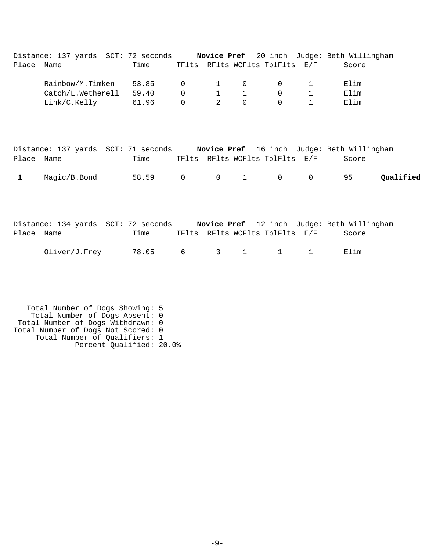| Place Name | Distance: 137 yards SCT: 72 seconds Novice Pref 20 inch Judge: Beth Willingham         | Time  |             |                |              | TFlts RFlts WCFlts TblFlts E/F |              | Score                                      |           |
|------------|----------------------------------------------------------------------------------------|-------|-------------|----------------|--------------|--------------------------------|--------------|--------------------------------------------|-----------|
|            | Rainbow/M.Timken                                                                       | 53.85 | 0           |                | 0            |                                |              | Elim                                       |           |
|            | Catch/L.Wetherell                                                                      | 59.40 | $\mathsf 0$ |                | 1            | 0                              |              | Elim                                       |           |
|            | Link/C.Kelly                                                                           | 61.96 | $\mathbf 0$ | $\overline{2}$ | $\mathbf 0$  | $\Omega$                       | $\mathbf{1}$ | Elim                                       |           |
| Place      | Distance: 137 yards SCT: 71 seconds Novice Pref 16 inch Judge: Beth Willingham<br>Name | Time  |             |                |              | TFlts RFlts WCFlts TblFlts     | E/F          | Score                                      |           |
| 1          | Magic/B.Bond                                                                           | 58.59 | $\mathsf 0$ | $\mathbf 0$    | $\mathbf{1}$ | $\overline{0}$                 | $\mathbf 0$  | 95                                         | Qualified |
|            | Distance: 134 yards SCT: 72 seconds                                                    |       |             |                |              |                                |              | Novice Pref 12 inch Judge: Beth Willingham |           |

| Place Name |                                    | Time |  |  | TFlts RFlts WCFlts TblFlts E/F Score |  |
|------------|------------------------------------|------|--|--|--------------------------------------|--|
|            | Oliver/J.Frey 78.05 6 3 1 1 1 Elim |      |  |  |                                      |  |

 Total Number of Dogs Showing: 5 Total Number of Dogs Absent: 0 Total Number of Dogs Withdrawn: 0 Total Number of Dogs Not Scored: 0 Total Number of Qualifiers: 1 Percent Qualified: 20.0%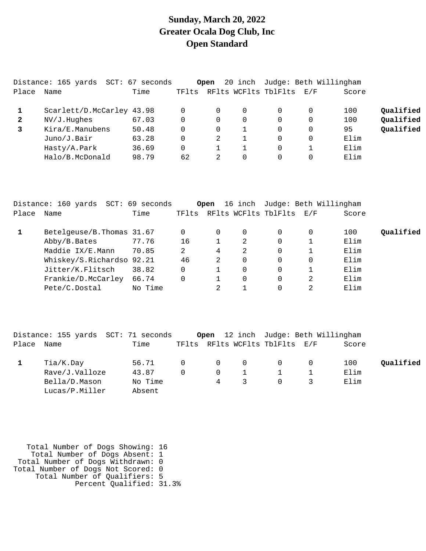# **Sunday, March 20, 2022 Greater Ocala Dog Club, Inc Open Standard**

|              | Distance: 165 yards       | SCT: 67 seconds |       | Open | 20 inch  |                      | Judge: Beth Willingham |       |           |
|--------------|---------------------------|-----------------|-------|------|----------|----------------------|------------------------|-------|-----------|
| Place        | Name                      | Time            | TFlts |      |          | RFlts WCFlts TblFlts | $\rm E$ / $\rm F$      | Score |           |
|              | Scarlett/D.McCarley 43.98 |                 |       | 0    | 0        |                      |                        | 100   | Qualified |
| $\mathbf{2}$ | NV/J.Hughes               | 67.03           | 0     | 0    | 0        |                      |                        | 100   | Qualified |
| 3            | Kira/E.Manubens           | 50.48           | 0     | 0    |          |                      |                        | 95    | Qualified |
|              | Juno/J.Bair               | 63.28           | 0     | 2    |          |                      |                        | Elim  |           |
|              | Hasty/A.Park              | 36.69           | 0     |      |          |                      |                        | Elim  |           |
|              | Halo/B.McDonald           | 98.79           | 62    |      | $\Omega$ |                      |                        | Elim  |           |

|       | Distance: 160 yards        | SCT: 69 seconds |    | Open |             |                                | 16 inch Judge: Beth Willingham |       |           |
|-------|----------------------------|-----------------|----|------|-------------|--------------------------------|--------------------------------|-------|-----------|
| Place | Name                       | Time            |    |      |             | TFlts RFlts WCFlts TblFlts E/F |                                | Score |           |
|       | Betelgeuse/B. Thomas 31.67 |                 | 0  |      | 0           | $\Omega$                       | 0                              | 100   | Qualified |
|       | Abby/B.Bates               | 77.76           | 16 |      | 2           | 0                              |                                | Elim  |           |
|       | Maddie IX/E.Mann           | 70.85           | 2  | 4    | 2           | 0                              |                                | Elim  |           |
|       | Whiskey/S.Richardso 92.21  |                 | 46 | 2    | $\mathbf 0$ | 0                              | 0                              | Elim  |           |
|       | Jitter/K.Flitsch           | 38.82           | 0  |      | $\mathbf 0$ | 0                              |                                | Elim  |           |
|       | Frankie/D.McCarley         | 66.74           | 0  |      | $\mathbf 0$ | 0                              | 2                              | Elim  |           |
|       | Pete/C.Dostal              | No Time         |    |      |             |                                |                                | Elim  |           |

|       | Distance: 155 yards SCT: 71 seconds |         |              |                |                |                          | <b>Open</b> 12 inch Judge: Beth Willingham |       |           |
|-------|-------------------------------------|---------|--------------|----------------|----------------|--------------------------|--------------------------------------------|-------|-----------|
| Place | Name                                | Time    | TFlts        |                |                | RFlts WCFlts TblFlts E/F |                                            | Score |           |
|       | Tia/K.Day                           | 56.71   | $\Omega$     | $\overline{0}$ | $\overline{0}$ | $\Omega$                 |                                            | 100   | Qualified |
|       | Rave/J.Valloze                      | 43.87   | <sup>n</sup> | $\Omega$       |                |                          |                                            | Elim  |           |
|       | Bella/D.Mason                       | No Time |              | $\overline{4}$ | 3              | $\Omega$                 |                                            | Elim  |           |
|       | Lucas/P.Miller                      | Absent  |              |                |                |                          |                                            |       |           |

| Total Number of Dogs Showing: 16   |  |
|------------------------------------|--|
| Total Number of Dogs Absent: 1     |  |
| Total Number of Dogs Withdrawn: 0  |  |
| Total Number of Dogs Not Scored: 0 |  |
| Total Number of Qualifiers: 5      |  |
| Percent Qualified: 31.3%           |  |
|                                    |  |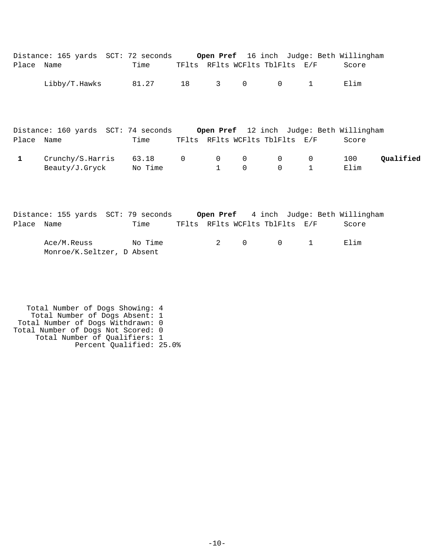|            | Distance: 165 yards SCT: 72 seconds Open Pref 16 inch Judge: Beth Willingham |         |    |                                |              |                                |                |                                                 |           |
|------------|------------------------------------------------------------------------------|---------|----|--------------------------------|--------------|--------------------------------|----------------|-------------------------------------------------|-----------|
| Place Name |                                                                              | Time    |    |                                |              | TFlts RFlts WCFlts TblFlts E/F |                | Score                                           |           |
|            | Libby/T.Hawks                                                                | 81.27   | 18 | $3 \left( \frac{1}{2} \right)$ | $\mathsf{O}$ | $\overline{0}$                 | $\mathbf{1}$   | Elim                                            |           |
|            |                                                                              |         |    |                                |              |                                |                |                                                 |           |
|            | Distance: 160 yards SCT: 74 seconds                                          |         |    |                                |              |                                |                | <b>Open Pref</b> 12 inch Judge: Beth Willingham |           |
| Place Name |                                                                              | Time    |    |                                |              | TFlts RFlts WCFlts TblFlts E/F |                | Score                                           |           |
| 1          | Crunchy/S.Harris                                                             | 63.18 0 |    | $\overline{0}$                 | $\mathsf{O}$ | $0 \qquad \qquad$              | $\overline{0}$ | 100                                             | Qualified |
|            | Beauty/J.Gryck No Time                                                       |         |    | $\mathbf{1}$                   | $\mathbf 0$  | $\overline{0}$                 | $\mathbf{1}$   | Elim                                            |           |
|            |                                                                              |         |    |                                |              |                                |                |                                                 |           |
|            |                                                                              |         |    |                                |              |                                |                |                                                 |           |

|            | Distance: 155 yards SCT: 79 seconds       |         |  |          |                                          | <b>Open Pref</b> 4 inch Judge: Beth Willingham |
|------------|-------------------------------------------|---------|--|----------|------------------------------------------|------------------------------------------------|
| Place Name |                                           | Time    |  |          | TFlts RFlts WCFlts TblFlts E/F           | Score                                          |
|            | Ace/M.Reuss<br>Monroe/K.Seltzer, D Absent | No Time |  | 2 $\cap$ | $\begin{array}{ccc} & & & 1 \end{array}$ | Flim                                           |

 Total Number of Dogs Showing: 4 Total Number of Dogs Absent: 1 Total Number of Dogs Withdrawn: 0 Total Number of Dogs Not Scored: 0 Total Number of Qualifiers: 1 Percent Qualified: 25.0%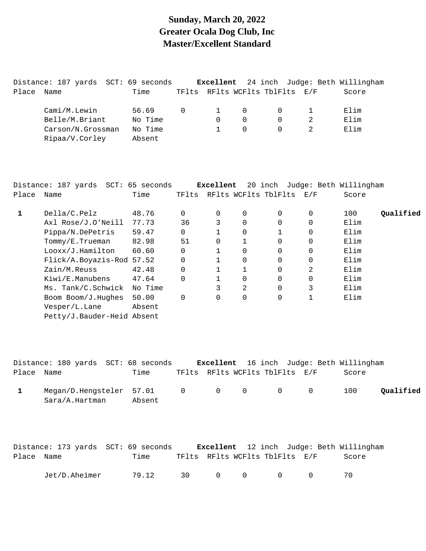## **Sunday, March 20, 2022 Greater Ocala Dog Club, Inc Master/Excellent Standard**

|       | Distance: 187 yards SCT: 69 seconds |         |                |                |          |                                | <b>Excellent</b> 24 inch Judge: Beth Willingham |
|-------|-------------------------------------|---------|----------------|----------------|----------|--------------------------------|-------------------------------------------------|
| Place | Name                                | Time    |                |                |          | TFlts RFlts WCFlts TblFlts E/F | Score                                           |
|       | Cami/M.Lewin                        | 56.69   | $\overline{0}$ | $\overline{1}$ | - 0      |                                | Elim                                            |
|       | Belle/M.Briant                      | No Time |                | $\Omega$       | 0        | $\Omega$                       | Elim                                            |
|       | Carson/N.Grossman                   | No Time |                |                | $\Omega$ | $\Omega$                       | Elim                                            |
|       | Ripaa/V.Corley                      | Absent  |                |                |          |                                |                                                 |

|       | Distance: 187 yards SCT: 65 seconds |         |          | Excellent |              |                          |          | 20 inch Judge: Beth Willingham |           |
|-------|-------------------------------------|---------|----------|-----------|--------------|--------------------------|----------|--------------------------------|-----------|
| Place | Name                                | Time    | TFlts    |           |              | RFlts WCFlts TblFlts E/F |          | Score                          |           |
| 1     | Della/C.Pelz                        | 48.76   | 0        | 0         | $\Omega$     | $\Omega$                 | $\Omega$ | 100                            | Qualified |
|       | Axl Rose/J.O'Neill                  | 77.73   | 36       | 3         | $\Omega$     | $\Omega$                 | $\Omega$ | Elim                           |           |
|       | Pippa/N.DePetris                    | 59.47   | $\Omega$ |           | $\Omega$     |                          | $\Omega$ | Elim                           |           |
|       | Tommy/E.Trueman                     | 82.98   | 51       | 0         |              | $\Omega$                 | $\Omega$ | Elim                           |           |
|       | Looxx/J.Hamilton                    | 60.60   | 0        |           | $\Omega$     | $\Omega$                 | 0        | Elim                           |           |
|       | Flick/A.Boyazis-Rod 57.52           |         | $\Omega$ |           | $\Omega$     | $\Omega$                 | $\Omega$ | Elim                           |           |
|       | Zain/M.Reuss                        | 42.48   | $\Omega$ |           | $\mathbf{1}$ | $\Omega$                 | 2        | Elim                           |           |
|       | Kiwi/E.Manubens                     | 47.64   | $\Omega$ |           | $\Omega$     | $\Omega$                 | $\Omega$ | Elim                           |           |
|       | Ms. Tank/C.Schwick                  | No Time |          | 3         | 2            | $\Omega$                 | 3        | Elim                           |           |
|       | Boom Boom/J.Hughes                  | 50.00   | 0        | 0         | $\mathbf 0$  | $\Omega$                 | 1        | Elim                           |           |
|       | Vesper/L.Lane                       | Absent  |          |           |              |                          |          |                                |           |
|       | Petty/J.Bauder-Heid Absent          |         |          |           |              |                          |          |                                |           |

|            | Distance: 180 yards SCT: 68 seconds                    |        |  |                                | <b>Excellent</b> 16 inch Judge: Beth Willingham |           |
|------------|--------------------------------------------------------|--------|--|--------------------------------|-------------------------------------------------|-----------|
| Place Name |                                                        | Time   |  | TFlts RFlts WCFlts TblFlts E/F | Score                                           |           |
|            | Megan/D.Hengsteler 57.01 0 0 0 0 0 0<br>Sara/A.Hartman | Absent |  |                                | 100                                             | Qualified |

|            | Distance: 173 yards SCT: 69 seconds |       |                                            |                                | <b>Excellent</b> 12 inch Judge: Beth Willingham |
|------------|-------------------------------------|-------|--------------------------------------------|--------------------------------|-------------------------------------------------|
| Place Name |                                     | Time  |                                            | TFlts RFlts WCFlts TblFlts E/F | Score                                           |
|            | Jet/D.Aheimer                       | 79.12 | 30 $\begin{matrix} 0 & 0 & 0 \end{matrix}$ |                                | 70.                                             |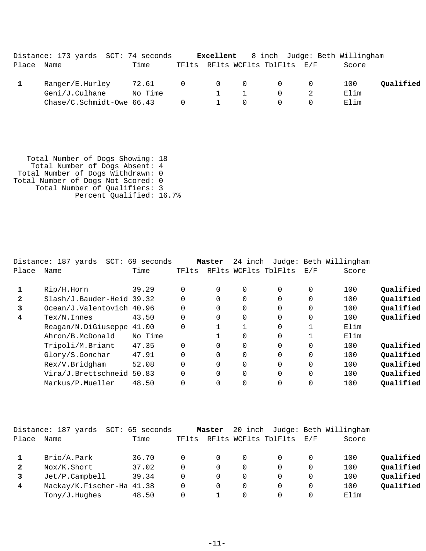|            | Distance: 173 yards SCT: 74 seconds |         |                     |                                |          | <b>Excellent</b> 8 inch Judge: Beth Willingham |           |
|------------|-------------------------------------|---------|---------------------|--------------------------------|----------|------------------------------------------------|-----------|
| Place Name |                                     | Time    |                     | TFlts RFlts WCFlts TblFlts E/F |          | Score                                          |           |
|            | Ranger/E.Hurley                     | 72.61   | $0\qquad 0\qquad 0$ |                                | $\Omega$ | 100                                            | Oualified |
|            | Geni/J.Culhane                      | No Time |                     |                                | $\cap$   | Elim                                           |           |
|            | $Chase/C.Schmidt-Owe 66.43$         |         | $\overline{0}$      |                                |          | Elim                                           |           |

 Total Number of Dogs Showing: 18 Total Number of Dogs Absent: 4 Total Number of Dogs Withdrawn: 0 Total Number of Dogs Not Scored: 0 Total Number of Qualifiers: 3 Percent Qualified: 16.7%

|              | Distance: 187 yards<br>$SCT$ : | 69 seconds |          | Master   | 24 inch  |                      |              | Judge: Beth Willingham |           |
|--------------|--------------------------------|------------|----------|----------|----------|----------------------|--------------|------------------------|-----------|
| Place        | Name                           | Time       | TFlts    |          |          | RFlts WCFlts TblFlts | E/F          | Score                  |           |
|              | Rip/H.Horn                     | 39.29      | $\Omega$ | $\Omega$ | $\Omega$ | $\Omega$             | 0            | 100                    | Qualified |
| $\mathbf{2}$ | Slash/J.Bauder-Heid 39.32      |            |          |          | 0        | $\Omega$             | 0            | 100                    | Qualified |
| 3            | Ocean/J.Valentovich 40.96      |            | $\Omega$ |          | 0        | $\Omega$             | $\Omega$     | 100                    | Qualified |
| 4            | $Text/N.$ Innes                | 43.50      | $\Omega$ | 0        | $\Omega$ | $\Omega$             | $\Omega$     | 100                    | Qualified |
|              | Reagan/N.DiGiuseppe            | 41.00      | $\Omega$ |          |          | $\Omega$             |              | Elim                   |           |
|              | Ahron/B.McDonald               | No Time    |          |          | 0        | $\Omega$             | $\mathbf{1}$ | Elim                   |           |
|              | Tripoli/M.Briant               | 47.35      | $\Omega$ |          | $\Omega$ | $\Omega$             | $\Omega$     | 100                    | Oualified |
|              | Glory/S.Gonchar                | 47.91      | $\Omega$ | $\Omega$ | $\Omega$ | $\Omega$             | $\Omega$     | 100                    | Qualified |
|              | Rex/V.Bridgham                 | 52.08      | $\Omega$ |          | 0        | $\Omega$             | $\mathbf 0$  | 100                    | Qualified |
|              | Vira/J.Brettschneid 50.83      |            |          |          | $\Omega$ | $\Omega$             | $\Omega$     | 100                    | Qualified |
|              | Markus/P.Mueller               | 48.50      |          |          | $\Omega$ | $\Omega$             | $\Omega$     | 100                    | Qualified |

|              | Distance: 187 yards<br>SCT: | 65 seconds |       | Master   |          |                      |          | 20 inch Judge: Beth Willingham |           |
|--------------|-----------------------------|------------|-------|----------|----------|----------------------|----------|--------------------------------|-----------|
| Place        | Name                        | Time       | TFlts |          |          | RFlts WCFlts TblFlts | E/F      | Score                          |           |
|              | Brio/A.Park                 | 36.70      |       | $\Omega$ | 0        |                      | $\Omega$ | 100                            | Qualified |
| $\mathbf{2}$ | Nox/K.Short                 | 37.02      |       | 0        | $\Omega$ |                      | 0        | 100                            | Qualified |
|              | Jet/P.Campbell              | 39.34      | 0     | $\Omega$ | $\Omega$ |                      | 0        | 100                            | Qualified |
| 4            | Mackay/K.Fischer-Ha 41.38   |            |       | 0        | 0        |                      | 0        | 100                            | Qualified |
|              | Tony/J.Hughes               | 48.50      |       |          | 0        |                      |          | Elim                           |           |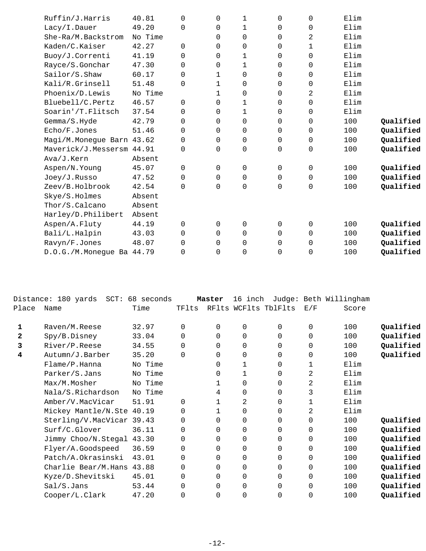| Ruffin/J.Harris           | 40.81   | $\mathbf 0$ | 0           | 1           | 0           | $\mathbf 0$ | Elim |           |
|---------------------------|---------|-------------|-------------|-------------|-------------|-------------|------|-----------|
| Lacy/I.Dauer              | 49.20   | 0           | 0           | 1           | 0           | $\mathbf 0$ | Elim |           |
| She-Ra/M.Backstrom        | No Time |             | 0           | $\mathbf 0$ | 0           | 2           | Elim |           |
| Kaden/C.Kaiser            | 42.27   | $\mathbf 0$ | $\Omega$    | $\mathbf 0$ | 0           | 1           | Elim |           |
| Buoy/J.Correnti           | 41.19   | $\Omega$    | $\Omega$    | 1           | 0           | $\mathbf 0$ | Elim |           |
| Rayce/S.Gonchar           | 47.30   | $\Omega$    | $\Omega$    | 1           | 0           | $\mathbf 0$ | Elim |           |
| Sailor/S.Shaw             | 60.17   | $\mathbf 0$ | 1           | 0           | 0           | 0           | Elim |           |
| Kali/R.Grinsell           | 51.48   | $\mathbf 0$ | $\mathbf 1$ | 0           | 0           | 0           | Elim |           |
| Phoenix/D.Lewis           | No Time |             | $\mathbf 1$ | 0           | 0           | 2           | Elim |           |
| Bluebell/C.Pertz          | 46.57   | $\Omega$    | $\Omega$    | 1           | 0           | $\mathbf 0$ | Elim |           |
| Soarin'/T.Flitsch         | 37.54   | 0           | 0           | 1           | 0           | $\mathbf 0$ | Elim |           |
| Gemma/S.Hyde              | 42.79   | $\Omega$    | $\Omega$    | $\mathbf 0$ | 0           | 0           | 100  | Qualified |
| Echo/F.Jones              | 51.46   | 0           | 0           | 0           | 0           | $\mathbf 0$ | 100  | Qualified |
| Magi/M.Monegue Barn 43.62 |         | 0           | $\mathbf 0$ | $\mathbf 0$ | $\mathbf 0$ | $\mathbf 0$ | 100  | Qualified |
| Maverick/J.Messersm 44.91 |         | 0           | 0           | $\mathbf 0$ | 0           | $\mathbf 0$ | 100  | Qualified |
| Ava/J.Kern                | Absent  |             |             |             |             |             |      |           |
| Aspen/N.Young             | 45.07   | $\Omega$    | 0           | $\mathbf 0$ | $\mathbf 0$ | 0           | 100  | Qualified |
| Joey/J.Russo              | 47.52   | $\Omega$    | $\Omega$    | 0           | $\Omega$    | $\mathbf 0$ | 100  | Qualified |
| Zeev/B.Holbrook           | 42.54   | $\Omega$    | $\Omega$    | $\mathbf 0$ | 0           | $\mathbf 0$ | 100  | Qualified |
| Skye/S.Holmes             | Absent  |             |             |             |             |             |      |           |
| Thor/S.Calcano            | Absent  |             |             |             |             |             |      |           |
| Harley/D.Philibert        | Absent  |             |             |             |             |             |      |           |
| Aspen/A.Fluty             | 44.19   | $\Omega$    | $\Omega$    | $\Omega$    | $\Omega$    | $\mathbf 0$ | 100  | Qualified |
| Bali/L.Halpin             | 43.03   | 0           | $\Omega$    | $\mathbf 0$ | $\mathbf 0$ | $\mathbf 0$ | 100  | Qualified |
| Ravyn/F.Jones             | 48.07   | $\Omega$    | 0           | 0           | $\mathbf 0$ | 0           | 100  | Qualified |
| D.O.G./M.Monegue Ba 44.79 |         | 0           | $\Omega$    | $\mathbf 0$ | 0           | 0           | 100  | Qualified |
|                           |         |             |             |             |             |             |      |           |

|              | Distance: 180 yards       | SCT: 68 seconds |          | Master   | 16 inch      |                      |             | Judge: Beth Willingham |           |
|--------------|---------------------------|-----------------|----------|----------|--------------|----------------------|-------------|------------------------|-----------|
| Place        | Name                      | Time            | TFlts    |          |              | RFlts WCFlts TblFlts | E/F         | Score                  |           |
| 1            | Raven/M.Reese             | 32.97           | $\Omega$ | 0        | 0            | 0                    | $\mathbf 0$ | 100                    | Qualified |
| $\mathbf{z}$ | Spy/B.Disney              | 33.04           | $\Omega$ | $\Omega$ | $\Omega$     | 0                    | $\mathbf 0$ | 100                    | Qualified |
| 3            | River/P.Reese             | 34.55           | $\Omega$ | $\Omega$ | $\Omega$     | 0                    | $\mathbf 0$ | 100                    | Qualified |
| 4            | Autumn/J.Barber           | 35.20           | $\Omega$ | $\Omega$ | 0            | 0                    | 0           | 100                    | Qualified |
|              | Flame/P.Hanna             | No Time         |          | $\Omega$ | $\mathbf{1}$ | 0                    | 1           | Elim                   |           |
|              | Parker/S.Jans             | No Time         |          | 0        | 1            | 0                    | 2           | Elim                   |           |
|              | Max/M.Mosher              | No Time         |          |          | 0            | 0                    | 2           | Elim                   |           |
|              | Nala/S.Richardson         | No Time         |          | 4        | $\mathbf 0$  | 0                    | 3           | Elim                   |           |
|              | Amber/V.MacVicar          | 51.91           | $\Omega$ |          | 2            | 0                    | 1           | Elim                   |           |
|              | Mickey Mantle/N.Ste 40.19 |                 | $\Omega$ |          | 0            | 0                    | 2           | Elim                   |           |
|              | Sterling/V.MacVicar 39.43 |                 | 0        | 0        | 0            | 0                    | 0           | 100                    | Qualified |
|              | Surf/C.Glover             | 36.11           | 0        | $\Omega$ | $\Omega$     | 0                    | $\mathbf 0$ | 100                    | Qualified |
|              | Jimmy Choo/N.Stegal       | 43.30           | 0        | $\Omega$ | $\Omega$     | 0                    | $\mathbf 0$ | 100                    | Qualified |
|              | Flyer/A.Goodspeed         | 36.59           | 0        | 0        | 0            | 0                    | 0           | 100                    | Qualified |
|              | Patch/A.Okrasinski        | 43.01           | 0        | $\Omega$ | $\Omega$     | 0                    | $\mathbf 0$ | 100                    | Qualified |
|              | Charlie Bear/M.Hans       | 43.88           | 0        | 0        | $\Omega$     | 0                    | $\mathbf 0$ | 100                    | Qualified |
|              | Kyze/D.Shevitski          | 45.01           | $\Omega$ | $\Omega$ | 0            | 0                    | 0           | 100                    | Qualified |
|              | Sal/S.Jans                | 53.44           | 0        | $\Omega$ | $\mathbf 0$  | 0                    | $\mathbf 0$ | 100                    | Qualified |
|              | Cooper/L.Clark            | 47.20           | 0        | 0        | 0            | 0                    | 0           | 100                    | Qualified |
|              |                           |                 |          |          |              |                      |             |                        |           |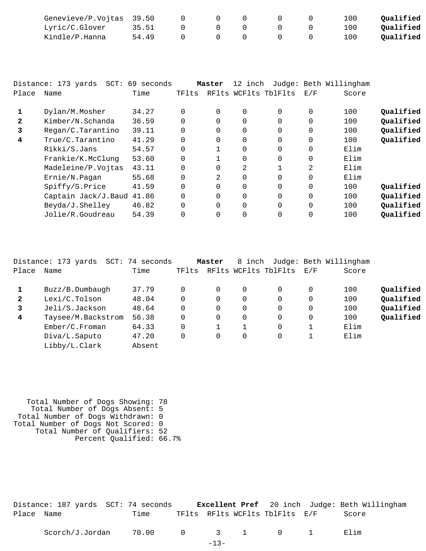| Genevieve/P.Vojtas 39.50 |       |  |  | 100. | Qualified |
|--------------------------|-------|--|--|------|-----------|
| Lyric/C.Glover           | 35.51 |  |  | ⊥00  | Oualified |
| Kindle/P.Hanna           | 54.49 |  |  | 100. | Qualified |

|       | Distance: 173 yards SCT: 69 seconds |       |          | Master   | 12 inch  |                      |          | Judge: Beth Willingham |           |
|-------|-------------------------------------|-------|----------|----------|----------|----------------------|----------|------------------------|-----------|
| Place | Name                                | Time  | TFlts    |          |          | RFlts WCFlts TblFlts | E/F      | Score                  |           |
| 1     | Dylan/M.Mosher                      | 34.27 | 0        | 0        | 0        | $\Omega$             | 0        | 100                    | Qualified |
| 2     | Kimber/N.Schanda                    | 36.59 | $\Omega$ | $\Omega$ | $\Omega$ | $\Omega$             | $\Omega$ | 100                    | Qualified |
|       |                                     |       |          |          |          |                      |          |                        |           |
| 3     | Regan/C.Tarantino                   | 39.11 | 0        | 0        | 0        | $\Omega$             | $\Omega$ | 100                    | Qualified |
| 4     | True/C.Tarantino                    | 41.29 | 0        | $\Omega$ | 0        | $\Omega$             | $\Omega$ | 100                    | Qualified |
|       | Rikki/S.Jans                        | 54.57 | 0        |          | 0        | $\Omega$             | 0        | Elim                   |           |
|       | Frankie/K.McClung                   | 53.60 | 0        |          | 0        | $\Omega$             | $\Omega$ | Elim                   |           |
|       | Madeleine/P.Vojtas                  | 43.11 | 0        | 0        | 2        |                      | 2        | Elim                   |           |
|       | Ernie/N.Pagan                       | 55.68 | 0        | 2        | $\Omega$ | $\Omega$             | $\Omega$ | Elim                   |           |
|       | Spiffy/S.Price                      | 41.59 | 0        | 0        | 0        | $\Omega$             | $\Omega$ | 100                    | Qualified |
|       | Captain Jack/J.Baud                 | 41.86 | 0        | $\Omega$ | 0        | $\Omega$             | $\Omega$ | 100                    | Qualified |
|       | Beyda/J.Shelley                     | 46.82 | $\Omega$ | $\Omega$ | $\Omega$ | $\Omega$             | $\Omega$ | 100                    | Qualified |
|       | Jolie/R.Goudreau                    | 54.39 | 0        | $\Omega$ | $\Omega$ | $\Omega$             | $\Omega$ | 100                    | Qualified |

|              | Distance: 173 yards<br>SCT: | 74<br>seconds |       | Master   | 8 inch   |                      |     | Judge: Beth Willingham |           |
|--------------|-----------------------------|---------------|-------|----------|----------|----------------------|-----|------------------------|-----------|
| Place        | Name                        | Time          | TFlts |          |          | RFlts WCFlts TblFlts | E/F | Score                  |           |
|              | Buzz/B.Dumbaugh             | 37.79         |       | 0        | 0        | 0                    | 0   | 100                    | Qualified |
| $\mathbf{2}$ | Lexi/C.Tolson               | 48.04         |       | $\Omega$ | $\Omega$ | 0                    | 0   | 100                    | Qualified |
| 3            | Jeli/S.Jackson              | 48.64         |       | $\Omega$ | 0        | 0                    | 0   | 100                    | Qualified |
| 4            | Taysee/M.Backstrom          | 56.38         |       | $\Omega$ | 0        | 0                    | 0   | 100                    | Qualified |
|              | Ember/C.Froman              | 64.33         |       |          |          | 0                    |     | Elim                   |           |
|              | Diva/L.Saputo               | 47.20         |       | 0        | 0        | 0                    | 1   | Elim                   |           |
|              | Libby/L.Clark               | Absent        |       |          |          |                      |     |                        |           |
|              |                             |               |       |          |          |                      |     |                        |           |

 Total Number of Dogs Showing: 78 Total Number of Dogs Absent: 5 Total Number of Dogs Withdrawn: 0 Total Number of Dogs Not Scored: 0 Total Number of Qualifiers: 52 Percent Qualified: 66.7%

|            | Distance: 187 yards SCT: 74 seconds |  |                                | <b>Excellent Pref</b> 20 inch Judge: Beth Willingham |
|------------|-------------------------------------|--|--------------------------------|------------------------------------------------------|
| Place Name | Time                                |  | TFlts RFlts WCFlts TblFlts E/F | Score                                                |
|            |                                     |  |                                |                                                      |

| Scorch/J.Jordan | .00<br>70 |  |  |  |  |  | ım |
|-----------------|-----------|--|--|--|--|--|----|
|-----------------|-----------|--|--|--|--|--|----|

-13-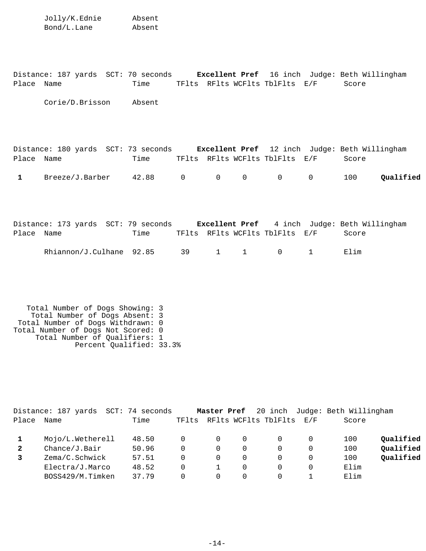Jolly/K.Ednie Absent Bond/L.Lane Absent

Distance: 187 yards SCT: 70 seconds **Excellent Pref** 16 inch Judge: Beth Willingham Place Name Time TFlts RFlts WCFlts TblFlts E/F Score

Corie/D.Brisson Absent

|              | Distance: 180 yards SCT: 73 seconds |                     |  | <b>Excellent Pref</b> 12 inch Judge: Beth Willingham |       |           |
|--------------|-------------------------------------|---------------------|--|------------------------------------------------------|-------|-----------|
| Place Name   |                                     | Time                |  | TFlts RFlts WCFlts TblFlts E/F                       | Score |           |
| $\mathbf{1}$ | Breeze/J.Barber                     | $42.88$ 0 0 0 0 0 0 |  |                                                      | 100   | Qualified |

|            | Distance: 173 yards SCT: 79 seconds |      |  |                                | <b>Excellent Pref</b> 4 inch Judge: Beth Willingham |
|------------|-------------------------------------|------|--|--------------------------------|-----------------------------------------------------|
| Place Name |                                     | Time |  | TFlts RFlts WCFlts TblFlts E/F | Score                                               |
|            | Rhiannon/J.Culhane 92.85 39 1 1 0 1 |      |  |                                | Elim                                                |

 Total Number of Dogs Showing: 3 Total Number of Dogs Absent: 3 Total Number of Dogs Withdrawn: 0 Total Number of Dogs Not Scored: 0 Total Number of Qualifiers: 1 Percent Qualified: 33.3%

|              | Distance: 187 yards | SCT: 74 seconds |       | Master Pref |          |                      |          | 20 inch Judge: Beth Willingham |           |
|--------------|---------------------|-----------------|-------|-------------|----------|----------------------|----------|--------------------------------|-----------|
| Place        | Name                | Time            | TFlts |             |          | RFlts WCFlts TblFlts | F. / F   | Score                          |           |
|              | Mojo/L.Wetherell    | 48.50           |       | $\Omega$    | $\Omega$ |                      | $\Omega$ | 100                            | Qualified |
| $\mathbf{2}$ | Change/J.Bair       | 50.96           | 0     | $\Omega$    | $\Omega$ |                      | 0        | 100                            | Qualified |
|              | Zema/C.Schwick      | 57.51           | 0     | 0           | $\Omega$ |                      | 0        | 100                            | Qualified |
|              | Electra/J.Marco     | 48.52           | 0     |             | 0        |                      | 0        | Elim                           |           |
|              | BOSS429/M.Timken    | 37.79           | 0     | 0           | 0        |                      |          | Elim                           |           |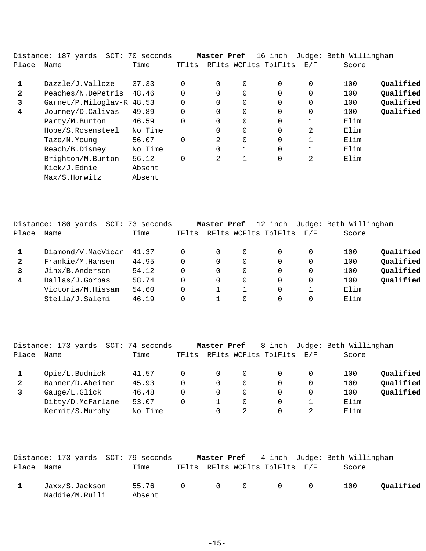|              | Distance: 187 yards SCT: 70 seconds |         |          | Master Pref    |                | 16 inch              |                | Judge: Beth Willingham |           |
|--------------|-------------------------------------|---------|----------|----------------|----------------|----------------------|----------------|------------------------|-----------|
| Place        | Name                                | Time    | TFlts    |                |                | RFlts WCFlts TblFlts | E/F            | Score                  |           |
| $\mathbf{1}$ | Dazzle/J.Valloze                    | 37.33   | $\Omega$ | $\Omega$       | $\overline{0}$ | $\Omega$             | 0              | 100                    | Qualified |
| $\mathbf{2}$ | Peaches/N.DePetris                  | 48.46   | $\Omega$ | 0              | 0              | $\Omega$             | 0              | 100                    | Qualified |
| 3            | Garnet/P.Miloglav-R 48.53           |         | $\Omega$ | 0              | 0              | 0                    | 0              | 100                    | Qualified |
| 4            | Journey/D.Calivas                   | 49.89   | $\Omega$ | 0              | $\overline{0}$ | $\Omega$             | $\Omega$       | 100                    | Qualified |
|              | Party/M.Burton                      | 46.59   | $\Omega$ | 0              | 0              | 0                    |                | Elim                   |           |
|              | Hope/S.Rosensteel                   | No Time |          |                | $\overline{0}$ | 0                    | $\overline{2}$ | Elim                   |           |
|              | Taze/N.Young                        | 56.07   | $\Omega$ | $\mathfrak{D}$ | $\overline{0}$ | $\Omega$             |                | Elim                   |           |
|              | Reach/B.Disney                      | No Time |          | 0              |                | $\Omega$             |                | Elim                   |           |
|              | Brighton/M.Burton                   | 56.12   | 0        | 2              |                | 0                    | 2              | Elim                   |           |
|              | Kick/J.Ednie                        | Absent  |          |                |                |                      |                |                        |           |
|              | Max/S.Horwitz                       | Absent  |          |                |                |                      |                |                        |           |

|              | Distance: 180 yards<br>SCT: | 73 seconds |       | Master Pref |   | 12 inch              |                   | Judge: Beth Willingham |           |
|--------------|-----------------------------|------------|-------|-------------|---|----------------------|-------------------|------------------------|-----------|
| Place        | Name                        | Time       | TFlts |             |   | RFlts WCFlts TblFlts | $\rm E$ / $\rm F$ | Score                  |           |
|              | Diamond/V.MacVicar          | 41.37      | 0     |             | 0 |                      | 0                 | 100                    | Qualified |
| $\mathbf{2}$ | Frankie/M.Hansen            | 44.95      | 0     |             | 0 | 0                    | 0                 | 100                    | Qualified |
|              | Jinx/B.Anderson             | 54.12      | 0     |             | 0 | 0                    | $\Omega$          | 100                    | Qualified |
| 4            | Dallas/J.Gorbas             | 58.74      | 0     |             | 0 | 0                    | 0                 | 100                    | Qualified |
|              | Victoria/M.Hissam           | 54.60      |       |             |   |                      |                   | Elim                   |           |
|              | Stella/J.Salemi             | 46.19      |       |             | 0 |                      |                   | Elim                   |           |
|              |                             |            |       |             |   |                      |                   |                        |           |

|              | Distance: 173 yards | SCT: 74 seconds |       | Master Pref |   | 8 inch               |            | Judge: Beth Willingham |           |
|--------------|---------------------|-----------------|-------|-------------|---|----------------------|------------|------------------------|-----------|
| Place        | Name                | Time            | TFlts |             |   | RFlts WCFlts TblFlts | <b>E/F</b> | Score                  |           |
|              | Opie/L.Budnick      | 41.57           |       | 0           | 0 |                      | $\Omega$   | 100                    | Oualified |
| $\mathbf{2}$ | Banner/D.Aheimer    | 45.93           |       | 0           | 0 |                      | $\Omega$   | 100                    | Qualified |
|              | Gauge/L.Glick       | 46.48           |       | 0           | 0 |                      | $\Omega$   | 100                    | Qualified |
|              | Ditty/D.McFarlane   | 53.07           |       |             | 0 |                      |            | Elim                   |           |
|              | Kermit/S.Murphy     | No Time         |       |             |   |                      |            | Elim                   |           |
|              |                     |                 |       |             |   |                      |            |                        |           |

|              | Distance: 173 yards SCT: 79 seconds |                           |  |                                | <b>Master Pref</b> 4 inch Judge: Beth Willingham |           |
|--------------|-------------------------------------|---------------------------|--|--------------------------------|--------------------------------------------------|-----------|
| Place Name   |                                     | Time                      |  | TFlts RFlts WCFlts TblFlts E/F | Score                                            |           |
| $\mathbf{1}$ | Jaxx/S.Jackson<br>Maddie/M.Rulli    | 55.76 0 0 0 0 0<br>Absent |  |                                | 100                                              | Oualified |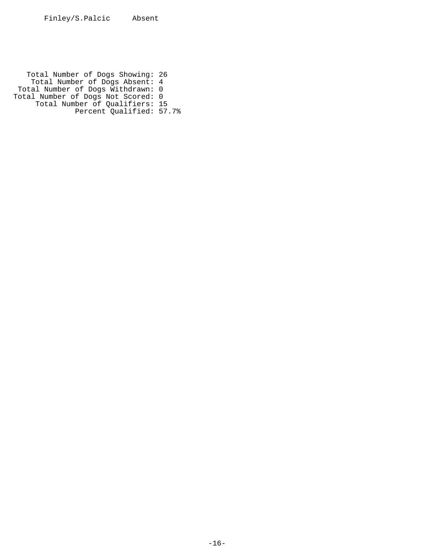Total Number of Dogs Showing: 26 Total Number of Dogs Absent: 4 Total Number of Dogs Withdrawn: 0 Total Number of Dogs Not Scored: 0 Total Number of Qualifiers: 15 Percent Qualified: 57.7%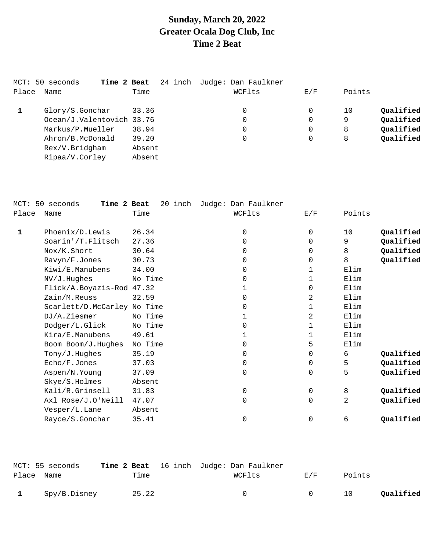## **Sunday, March 20, 2022 Greater Ocala Dog Club, Inc Time 2 Beat**

|       | MCT: 50 seconds<br>Time 2 Beat | 24 inch | Judge: Dan Faulkner |          |        |           |
|-------|--------------------------------|---------|---------------------|----------|--------|-----------|
| Place | Name                           | Time    | WCFlts              | E/F      | Points |           |
|       | Glory/S.Gonchar                | 33.36   | 0                   | 0        | 10     | Qualified |
|       | Ocean/J.Valentovich 33.76      |         | 0                   | $\Omega$ | 9      | Qualified |
|       | Markus/P.Mueller               | 38.94   | 0                   | 0        | 8      | Qualified |
|       | Ahron/B.McDonald               | 39.20   | 0                   | 0        | 8      | Qualified |
|       | Rex/V.Bridgham                 | Absent  |                     |          |        |           |
|       | Ripaa/V.Corley                 | Absent  |                     |          |        |           |
|       |                                |         |                     |          |        |           |

| $MCT$ : | 50 seconds<br>Time 2 Beat   | 20 inch | Judge: Dan Faulkner |             |        |           |
|---------|-----------------------------|---------|---------------------|-------------|--------|-----------|
| Place   | Name                        | Time    | WCFlts              | E/F         | Points |           |
| 1       | Phoenix/D.Lewis             | 26.34   | 0                   | $\mathbf 0$ | 10     | Qualified |
|         | Soarin'/T.Flitsch           | 27.36   | $\Omega$            | $\mathbf 0$ | 9      | Qualified |
|         | Nox/K.Short                 | 30.64   | $\Omega$            | $\Omega$    | 8      | Qualified |
|         | Ravyn/F.Jones               | 30.73   | $\Omega$            | $\mathbf 0$ | 8      | Qualified |
|         | Kiwi/E.Manubens             | 34.00   | $\Omega$            | 1           | Elim   |           |
|         | NV/J.Hughes                 | No Time | $\Omega$            | 1           | Elim   |           |
|         | Flick/A.Boyazis-Rod 47.32   |         | 1                   | $\Omega$    | Elim   |           |
|         | Zain/M.Reuss                | 32.59   | $\Omega$            | 2           | Elim   |           |
|         | Scarlett/D.McCarley No Time |         | $\Omega$            | 1           | Elim   |           |
|         | DJ/A.Ziesmer                | No Time | 1                   | 2           | Elim   |           |
|         | Dodger/L.Glick              | No Time | $\Omega$            | 1           | Elim   |           |
|         | Kira/E.Manubens             | 49.61   | 1                   | 1           | Elim   |           |
|         | Boom Boom/J.Hughes          | No Time | $\Omega$            | 5           | Elim   |           |
|         | Tony/J.Hughes               | 35.19   | $\Omega$            | $\mathbf 0$ | б.     | Qualified |
|         | Echo/F.Jones                | 37.03   | 0                   | 0           | 5      | Qualified |
|         | Aspen/N.Young               | 37.09   | $\Omega$            | $\mathbf 0$ | 5      | Qualified |
|         | Skye/S.Holmes               | Absent  |                     |             |        |           |
|         | Kali/R.Grinsell             | 31.83   | $\mathbf 0$         | $\Omega$    | 8      | Qualified |
|         | Axl Rose/J.O'Neill          | 47.07   | $\Omega$            | $\mathbf 0$ | 2      | Qualified |
|         | Vesper/L.Lane               | Absent  |                     |             |        |           |
|         | Rayce/S.Gonchar             | 35.41   | $\Omega$            | $\Omega$    | 6      | Qualified |

| Place Name   | MCT: 55 seconds | Time  | <b>Time 2 Beat</b> 16 inch Judge: Dan Faulkner<br>WCFlts | <b>E</b> /F | Points |           |
|--------------|-----------------|-------|----------------------------------------------------------|-------------|--------|-----------|
| $\mathbf{1}$ | Spy/B.Disney    | 25.22 | $^{\circ}$                                               | $\cap$      | 10     | Qualified |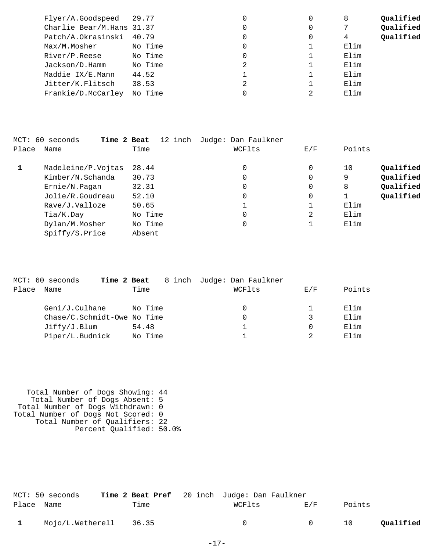| Flyer/A.Goodspeed 29.77   |         | 0 | 8    | Qualified |
|---------------------------|---------|---|------|-----------|
| Charlie Bear/M.Hans 31.37 |         | 0 |      | Qualified |
| Patch/A.Okrasinski        | 40.79   | 0 | 4    | Qualified |
| Max/M.Mosher              | No Time | 0 | Elim |           |
| River/P.Reese             | No Time | 0 | Elim |           |
| Jackson/D.Hamm            | No Time | 2 | Elim |           |
| Maddie IX/E.Mann          | 44.52   |   | Elim |           |
| Jitter/K.Flitsch          | 38.53   | 2 | Elim |           |
| Frankie/D.McCarley        | No Time | 0 | Elim |           |
|                           |         |   |      |           |

| MCT: 60 | Time 2 Beat<br>seconds | 12 inch | Judge: Dan Faulkner |     |                 |
|---------|------------------------|---------|---------------------|-----|-----------------|
| Place   | Name                   | Time    | WCFlts              | E/F | Points          |
| 1       | Madeleine/P.Vojtas     | 28.44   | 0                   | 0   | Qualified<br>10 |
|         | Kimber/N.Schanda       | 30.73   | 0                   | 0   | Qualified<br>9  |
|         | Ernie/N.Pagan          | 32.31   | 0                   | 0   | Qualified<br>8  |
|         | Jolie/R.Goudreau       | 52.10   | 0                   | 0   | Qualified       |
|         | Rave/J.Valloze         | 50.65   |                     |     | Elim            |
|         | Tia/K.Day              | No Time | 0                   | 2   | Elim            |
|         | Dylan/M.Mosher         | No Time | 0                   |     | Elim            |
|         | Spiffy/S.Price         | Absent  |                     |     |                 |
|         |                        |         |                     |     |                 |

| Name |                          | Time                                               |             | WCFlts                                            | E/F | Points                     |
|------|--------------------------|----------------------------------------------------|-------------|---------------------------------------------------|-----|----------------------------|
|      |                          |                                                    |             | 0                                                 |     | Elim                       |
|      |                          |                                                    |             | 0                                                 | 3   | Elim                       |
|      |                          | 54.48                                              |             |                                                   |     | Elim                       |
|      |                          |                                                    |             |                                                   |     | Elim                       |
|      | MCT: 60 seconds<br>Place | Geni/J.Culhane<br>Jiffry/J.Blum<br>Piper/L.Budnick | Time 2 Beat | No Time<br>Chase/C.Schmidt-Owe No Time<br>No Time |     | 8 inch Judge: Dan Faulkner |

 Total Number of Dogs Showing: 44 Total Number of Dogs Absent: 5 Total Number of Dogs Withdrawn: 0 Total Number of Dogs Not Scored: 0 Total Number of Qualifiers: 22 Percent Qualified: 50.0%

|              | MCT: 50 seconds        |      | Time 2 Beat Pref 20 inch Judge: Dan Faulkner |                |        |           |
|--------------|------------------------|------|----------------------------------------------|----------------|--------|-----------|
| Place Name   |                        | Time | WCFlts                                       | <b>E</b> /F    | Points |           |
| $\mathbf{1}$ | Mojo/L.Wetherell 36.35 |      | $\Omega$                                     | $\overline{0}$ | 10     | Qualified |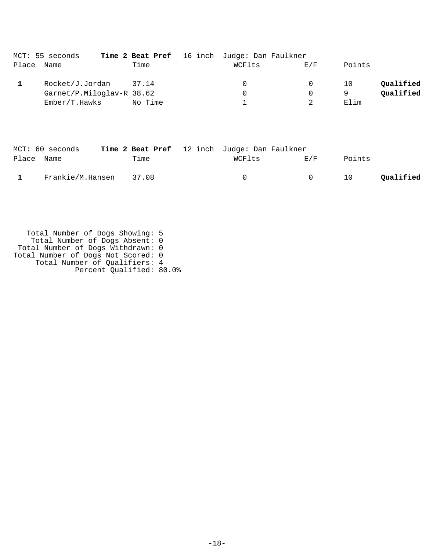|       | MCT: 55 seconds           |         | <b>Time 2 Beat Pref</b> 16 inch Judge: Dan Faulkner |          |        |           |
|-------|---------------------------|---------|-----------------------------------------------------|----------|--------|-----------|
| Place | Name                      | Time    | WCFlts                                              | E/F      | Points |           |
|       | Rocket/J.Jordan           | 37.14   | $\Omega$                                            | $\Omega$ | 10     | Qualified |
|       | Garnet/P.Miloglav-R 38.62 |         | 0                                                   | 0        | Q      | Qualified |
|       | Ember/T.Hawks             | No Time |                                                     |          | Elim   |           |

|            | MCT: 60 seconds  |       | Time 2 Beat Pref 12 inch Judge: Dan Faulkner |        |        |           |
|------------|------------------|-------|----------------------------------------------|--------|--------|-----------|
| Place Name |                  | Time  | WCFlts                                       | F. / F | Points |           |
|            | Frankie/M.Hansen | 37.08 | $^{\circ}$                                   | $\cap$ | 10     | Qualified |

 Total Number of Dogs Showing: 5 Total Number of Dogs Absent: 0 Total Number of Dogs Withdrawn: 0 Total Number of Dogs Not Scored: 0 Total Number of Qualifiers: 4 Percent Qualified: 80.0%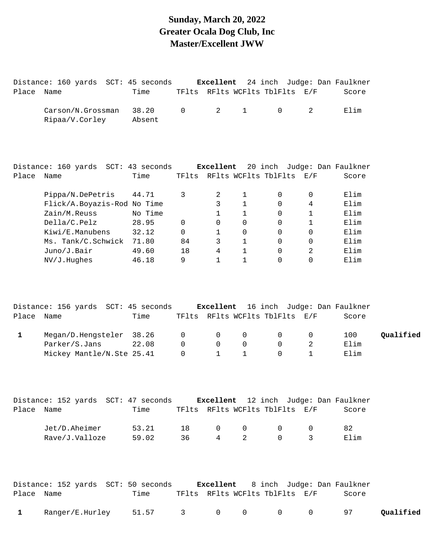#### **Sunday, March 20, 2022 Greater Ocala Dog Club, Inc Master/Excellent JWW**

| Place Name   | Distance: 160 yards SCT: 45 seconds                                       | Time                    |                                 |                               |                                              | TFlts RFlts WCFlts TblFlts E/F   |                                     | Excellent 24 inch Judge: Dan Faulkner<br>Score |           |
|--------------|---------------------------------------------------------------------------|-------------------------|---------------------------------|-------------------------------|----------------------------------------------|----------------------------------|-------------------------------------|------------------------------------------------|-----------|
|              | Carson/N.Grossman<br>Ripaa/V.Corley                                       | 38.20<br>Absent         | $\mathsf{O}\xspace$             | $\overline{2}$                | $\mathbf{1}$                                 | $\mathsf{O}$                     | 2                                   | Elim                                           |           |
|              | Distance: 160 yards SCT: 43 seconds                                       |                         |                                 |                               |                                              |                                  |                                     | Excellent 20 inch Judge: Dan Faulkner          |           |
| Place Name   |                                                                           | Time                    |                                 |                               |                                              | TFlts RFlts WCFlts TblFlts E/F   |                                     | Score                                          |           |
|              | Pippa/N.DePetris<br>Flick/A.Boyazis-Rod No Time<br>Zain/M.Reuss           | 44.71<br>No Time        | 3                               | 2<br>3<br>1                   | $\mathbf{1}$<br>$\mathbf{1}$<br>$\mathbf{1}$ | 0<br>$\mathbf 0$<br>$\mathsf{O}$ | 0<br>$\overline{4}$<br>$\mathbf{1}$ | Elim<br>Elim<br>Elim                           |           |
|              | Della/C.Pelz<br>Kiwi/E.Manubens                                           | 28.95<br>32.12          | $\mathbf 0$<br>$\mathbf 0$      | 0<br>1                        | $\mathsf{O}$<br>$\mathbf 0$                  | $\mathbf 0$<br>$\mathbf 0$       | $\mathbf{1}$<br>$\mathsf{O}$        | Elim<br>Elim                                   |           |
|              | Ms. Tank/C.Schwick<br>Juno/J.Bair<br>NV/J.Hughes                          | 71.80<br>49.60<br>46.18 | 84<br>18<br>9                   | 3<br>4<br>$\mathbf 1$         | $\mathbf{1}$<br>$\mathbf{1}$<br>$\mathbf{1}$ | $\mathbf 0$<br>0<br>0            | $\mathbf 0$<br>2<br>$\mathbf 0$     | Elim<br>Elim<br>Elim                           |           |
|              | Distance: 156 yards SCT: 45 seconds                                       |                         |                                 | Excellent                     |                                              |                                  |                                     | 16 inch Judge: Dan Faulkner                    |           |
| Place        | Name                                                                      | Time                    |                                 |                               |                                              | TFlts RFlts WCFlts TblFlts E/F   |                                     | Score                                          |           |
| $\mathbf{1}$ | Megan/D.Hengsteler<br>Parker/S.Jans<br>Mickey Mantle/N.Ste 25.41          | 38.26<br>22.08          | 0<br>$\mathbf 0$<br>$\mathbf 0$ | 0<br>0<br>$\mathbf{1}$        | $\mathbf 0$<br>0<br>$\mathbf{1}$             | 0<br>$\mathsf{O}$<br>$\Omega$    | 0<br>2<br>$\mathbf{1}$              | 100<br>Elim<br>Elim                            | Qualified |
| Place Name   | Distance: 152 yards SCT: 47 seconds Excellent 12 inch Judge: Dan Faulkner | Time                    |                                 |                               |                                              | TFlts RFlts WCFlts TblFlts E/F   |                                     | Score                                          |           |
|              | Jet/D.Aheimer<br>Rave/J.Valloze                                           | 53.21<br>59.02          | 18<br>36                        | $\mathbf 0$<br>$\overline{4}$ | $\mathbf 0$<br>$\overline{2}$                | 0<br>$\Omega$                    | 0<br>3                              | 82<br>Elim                                     |           |
|              | Distance: 152 yards SCT: 50 seconds Excellent 8 inch Judge: Dan Faulkner  |                         |                                 |                               |                                              |                                  |                                     |                                                |           |
| Place Name   |                                                                           | Time                    |                                 |                               |                                              | TFlts RFlts WCFlts TblFlts E/F   |                                     | Score                                          |           |
| $\mathbf{1}$ | Ranger/E.Hurley                                                           | 51.57                   | 3                               | $\mathsf{O}$                  | 0                                            | 0                                | $\mathsf{O}$                        | 97                                             | Qualified |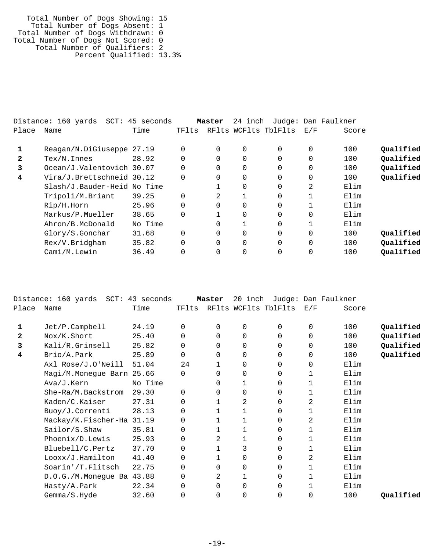Total Number of Dogs Showing: 15 Total Number of Dogs Absent: 1 Total Number of Dogs Withdrawn: 0 Total Number of Dogs Not Scored: 0 Total Number of Qualifiers: 2 Percent Qualified: 13.3%

|       | SCT:<br>Distance: 160 yards | 45 seconds |          | Master   | 24 inch  |                      |                | Judge: Dan Faulkner |           |
|-------|-----------------------------|------------|----------|----------|----------|----------------------|----------------|---------------------|-----------|
| Place | Name                        | Time       | TFlts    |          |          | RFlts WCFlts TblFlts | E/F            | Score               |           |
|       | Reagan/N.DiGiuseppe 27.19   |            | $\Omega$ | $\Omega$ | 0        |                      | $\Omega$       | 100                 | Oualified |
| 2     | $Text/N.$ Innes             | 28.92      | 0        | 0        | $\Omega$ |                      | 0              | 100                 | Qualified |
| 3     | Ocean/J.Valentovich 30.07   |            | 0        | $\Omega$ | $\Omega$ |                      | $\Omega$       | 100                 | Qualified |
| 4     | Vira/J.Brettschneid 30.12   |            | 0        | 0        | 0        |                      | 0              | 100                 | Qualified |
|       | Slash/J.Bauder-Heid No Time |            |          |          | $\Omega$ |                      | $\overline{2}$ | Elim                |           |
|       | Tripoli/M.Briant            | 39.25      | 0        | 2        |          | $\Omega$             |                | Elim                |           |
|       | Rip/H.Horn                  | 25.96      | $\Omega$ | $\Omega$ | $\Omega$ |                      |                | Elim                |           |
|       | Markus/P.Mueller            | 38.65      | $\Omega$ |          | $\Omega$ | $\Omega$             | $\Omega$       | Elim                |           |
|       | Ahron/B.McDonald            | No Time    |          | $\Omega$ |          | $\Omega$             |                | Elim                |           |
|       | Glory/S.Gonchar             | 31.68      | $\Omega$ | $\Omega$ | $\Omega$ | $\Omega$             | $\Omega$       | 100                 | Qualified |
|       | Rex/V.Bridgham              | 35.82      | 0        | $\Omega$ | $\Omega$ | $\Omega$             | $\Omega$       | 100                 | Qualified |
|       | Cami/M.Lewin                | 36.49      | 0        | 0        | $\Omega$ |                      | 0              | 100                 | Qualified |
|       |                             |            |          |          |          |                      |                |                     |           |

|              | Distance: 160 yards SCT: 43 seconds |         |          | Master       | 20 inch        |                      |             | Judge: Dan Faulkner |           |
|--------------|-------------------------------------|---------|----------|--------------|----------------|----------------------|-------------|---------------------|-----------|
| Place        | Name                                | Time    | TFlts    |              |                | RFlts WCFlts TblFlts | E/F         | Score               |           |
| 1            | Jet/P.Campbell                      | 24.19   | 0        | 0            | 0              | 0                    | 0           | 100                 | Qualified |
| $\mathbf{z}$ | Nox/K.Short                         | 25.40   | $\Omega$ | 0            | 0              | 0                    | $\Omega$    | 100                 | Qualified |
| 3            | Kali/R.Grinsell                     | 25.82   | $\Omega$ | $\Omega$     | 0              | 0                    | $\Omega$    | 100                 | Qualified |
| 4            | Brio/A.Park                         | 25.89   | 0        | 0            | 0              | 0                    | $\mathbf 0$ | 100                 | Qualified |
|              | Axl Rose/J.O'Neill                  | 51.04   | 24       | 1            | 0              | 0                    | $\Omega$    | Elim                |           |
|              | Magi/M.Monegue Barn 25.66           |         | $\Omega$ | 0            | 0              | 0                    | 1           | Elim                |           |
|              | Ava/J.Kern                          | No Time |          | 0            | 1              | 0                    | 1           | Elim                |           |
|              | She-Ra/M.Backstrom                  | 29.30   | $\Omega$ | $\Omega$     | 0              | 0                    |             | Elim                |           |
|              | Kaden/C.Kaiser                      | 27.31   | $\Omega$ | 1            | $\overline{a}$ | 0                    | 2           | Elim                |           |
|              | Buoy/J.Correnti                     | 28.13   | 0        |              |                | 0                    | 1           | Elim                |           |
|              | Mackay/K.Fischer-Ha 31.19           |         | $\Omega$ |              | 1              | 0                    | 2           | Elim                |           |
|              | Sailor/S.Shaw                       | 35.81   | $\Omega$ | 1            | 1              | 0                    | 1           | Elim                |           |
|              | Phoenix/D.Lewis                     | 25.93   | 0        | 2            |                | 0                    | 1           | Elim                |           |
|              | Bluebell/C.Pertz                    | 37.70   | 0        |              | 3              | 0                    | 1           | Elim                |           |
|              | Looxx/J.Hamilton                    | 41.40   | 0        | $\mathbf{1}$ | 0              | 0                    | 2           | Elim                |           |
|              | Soarin'/T.Flitsch                   | 22.75   | 0        | 0            | 0              | 0                    | 1           | Elim                |           |
|              | D.O.G./M.Monegue Ba 43.88           |         | $\Omega$ | 2            | 1              | 0                    | 1           | Elim                |           |
|              | Hasty/A.Park                        | 22.34   | 0        | $\Omega$     | 0              | 0                    |             | Elim                |           |
|              | Gemma/S.Hyde                        | 32.60   | $\Omega$ | 0            | 0              | 0                    | $\Omega$    | 100                 | Qualified |
|              |                                     |         |          |              |                |                      |             |                     |           |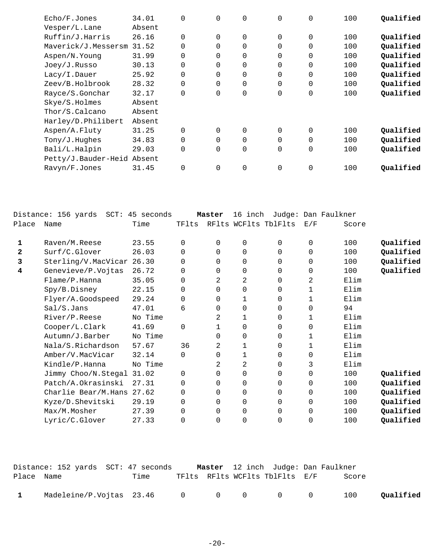| Echo/F.Jones               | 34.01  | $\mathbf 0$ | $\mathbf 0$ | $\mathbf 0$ | 0        | $\mathbf 0$ | 100 | Qualified |
|----------------------------|--------|-------------|-------------|-------------|----------|-------------|-----|-----------|
| Vesper/L.Lane              | Absent |             |             |             |          |             |     |           |
| Ruffin/J.Harris            | 26.16  | $\Omega$    | $\Omega$    | 0           | $\Omega$ | $\mathbf 0$ | 100 | Qualified |
| Maverick/J.Messersm        | 31.52  | $\Omega$    | $\Omega$    | $\Omega$    | $\Omega$ | $\mathbf 0$ | 100 | Qualified |
| Aspen/N.Young              | 31.99  | 0           | 0           | 0           | 0        | $\mathbf 0$ | 100 | Qualified |
| Joey/J.Russo               | 30.13  | 0           | $\Omega$    | 0           | 0        | $\mathbf 0$ | 100 | Qualified |
| Lacy/I.Dauer               | 25.92  | 0           | $\Omega$    | $\mathbf 0$ | $\Omega$ | $\mathbf 0$ | 100 | Qualified |
| Zeev/B.Holbrook            | 28.32  | 0           | $\Omega$    | 0           | $\Omega$ | $\mathbf 0$ | 100 | Qualified |
| Rayce/S.Gonchar            | 32.17  | 0           | $\mathbf 0$ | 0           | 0        | $\mathbf 0$ | 100 | Qualified |
| Skye/S.Holmes              | Absent |             |             |             |          |             |     |           |
| Thor/S.Calcano             | Absent |             |             |             |          |             |     |           |
| Harley/D.Philibert         | Absent |             |             |             |          |             |     |           |
| Aspen/A.Fluty              | 31.25  | $\Omega$    | $\Omega$    | $\mathbf 0$ | $\Omega$ | $\mathbf 0$ | 100 | Qualified |
| Tony/J.Hughes              | 34.83  | 0           | $\Omega$    | 0           | $\Omega$ | $\mathbf 0$ | 100 | Qualified |
| Bali/L.Halpin              | 29.03  | 0           | $\mathbf 0$ | 0           | 0        | $\mathbf 0$ | 100 | Qualified |
| Petty/J.Bauder-Heid Absent |        |             |             |             |          |             |     |           |
| Ravyn/F.Jones              | 31.45  | $\mathbf 0$ | $\mathbf 0$ | $\mathbf 0$ | 0        | $\mathbf 0$ | 100 | Qualified |
|                            |        |             |             |             |          |             |     |           |

|       | Distance: 156 yards SCT: 45 seconds |         |          | Master       | 16 inch        |                |             | Judge: Dan Faulkner |           |
|-------|-------------------------------------|---------|----------|--------------|----------------|----------------|-------------|---------------------|-----------|
| Place | Name                                | Time    | TFlts    | RFlts        |                | WCFlts TblFlts | E/F         | Score               |           |
| 1     | Raven/M.Reese                       | 23.55   | $\Omega$ | $\Omega$     | $\mathbf 0$    | $\Omega$       | $\mathbf 0$ | 100                 | Qualified |
| 2     | Surf/C.Glover                       | 26.03   | 0        | $\Omega$     | $\mathbf 0$    | 0              | $\mathbf 0$ | 100                 | Qualified |
| 3     | Sterling/V.MacVicar 26.30           |         | 0        | 0            | $\mathbf 0$    | 0              | $\mathbf 0$ | 100                 | Qualified |
| 4     | Genevieve/P.Vojtas                  | 26.72   | $\Omega$ | $\Omega$     | $\mathbf 0$    | 0              | $\Omega$    | 100                 | Qualified |
|       | Flame/P.Hanna                       | 35.05   | 0        | 2            | 2              | $\Omega$       | 2           | Elim                |           |
|       | Spy/B.Disney                        | 22.15   | 0        | $\Omega$     | $\mathbf 0$    | 0              | 1           | Elim                |           |
|       | Flyer/A.Goodspeed                   | 29.24   | 0        | $\Omega$     | 1              | 0              | 1           | Elim                |           |
|       | Sal/S.Jans                          | 47.01   | 6        | $\Omega$     | $\mathbf 0$    | 0              | $\Omega$    | 94                  |           |
|       | River/P.Reese                       | No Time |          | 2            | 1              | $\Omega$       | 1           | Elim                |           |
|       | Cooper/L.Clark                      | 41.69   | $\Omega$ | $\mathbf{1}$ | $\mathbf 0$    | 0              | $\mathbf 0$ | Elim                |           |
|       | Autumn/J.Barber                     | No Time |          | $\Omega$     | 0              | 0              | 1           | Elim                |           |
|       | Nala/S.Richardson                   | 57.67   | 36       | 2            | 1              | $\Omega$       | 1           | Elim                |           |
|       | Amber/V.MacVicar                    | 32.14   | 0        | $\Omega$     | 1              | 0              | $\mathbf 0$ | Elim                |           |
|       | Kindle/P.Hanna                      | No Time |          | 2            | 2              | 0              | 3           | Elim                |           |
|       | Jimmy Choo/N.Stegal 31.02           |         | 0        | $\Omega$     | 0              | 0              | 0           | 100                 | Qualified |
|       | Patch/A.Okrasinski                  | 27.31   | $\Omega$ | $\Omega$     | $\mathbf 0$    | 0              | $\mathbf 0$ | 100                 | Qualified |
|       | Charlie Bear/M.Hans                 | 27.62   | 0        | $\Omega$     | $\mathbf 0$    | 0              | $\mathbf 0$ | 100                 | Qualified |
|       | Kyze/D.Shevitski                    | 29.19   | 0        | $\Omega$     | $\mathbf 0$    | 0              | $\mathbf 0$ | 100                 | Qualified |
|       | Max/M.Mosher                        | 27.39   | 0        | 0            | $\mathbf 0$    | 0              | 0           | 100                 | Qualified |
|       | Lyric/C.Glover                      | 27.33   | $\Omega$ | $\Omega$     | $\overline{0}$ | 0              | 0           | 100                 | Qualified |

|              | Distance: 152 yards  SCT: 47 seconds |      |  |                                | Master 12 inch Judge: Dan Faulkner |           |
|--------------|--------------------------------------|------|--|--------------------------------|------------------------------------|-----------|
| Place Name   |                                      | Time |  | TFlts RFlts WCFlts TblFlts E/F | Score                              |           |
|              |                                      |      |  |                                |                                    |           |
| $\mathbf{1}$ |                                      |      |  |                                | 100                                | Qualified |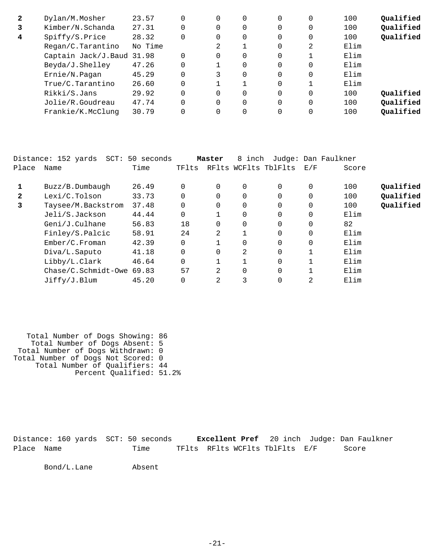| $\mathbf{2}$ | Dylan/M.Mosher            | 23.57   | 0 | 0        | 0        | 0        | 100  | Qualified |
|--------------|---------------------------|---------|---|----------|----------|----------|------|-----------|
| 3            | Kimber/N.Schanda          | 27.31   | 0 | 0        | 0        | 0        | 100  | Qualified |
| 4            | Spiffy/S.Price            | 28.32   | 0 | $\Omega$ | 0        | $\Omega$ | 100  | Qualified |
|              | Regan/C.Tarantino         | No Time | 2 |          | $\Omega$ | 2        | Elim |           |
|              | Captain Jack/J.Baud 31.98 |         | 0 | 0        | $\Omega$ |          | Elim |           |
|              | Beyda/J.Shelley           | 47.26   |   | $\Omega$ | $\Omega$ | $\Omega$ | Elim |           |
|              | Ernie/N.Pagan             | 45.29   | 3 | $\Omega$ | 0        | $\Omega$ | Elim |           |
|              | True/C.Tarantino          | 26.60   |   |          | $\Omega$ |          | Elim |           |
|              | Rikki/S.Jans              | 29.92   | 0 | $\Omega$ | $\Omega$ | $\Omega$ | 100  | Qualified |
|              | Jolie/R.Goudreau          | 47.74   | 0 | $\Omega$ | $\Omega$ | $\Omega$ | 100  | Qualified |
|              | Frankie/K.McClung         | 30.79   |   | $\Omega$ | 0        |          | 100  | Qualified |
|              |                           |         |   |          |          |          |      |           |

|              | Distance: 152 yards<br>SCT: | 50 seconds |          | Master   | 8 inch         |                      |          | Judge: Dan Faulkner |           |
|--------------|-----------------------------|------------|----------|----------|----------------|----------------------|----------|---------------------|-----------|
| Place        | Name                        | Time       | TFlts    |          |                | RFlts WCFlts TblFlts | E/F      | Score               |           |
|              | Buzz/B.Dumbaugh             | 26.49      | 0        | 0        | 0              | $\Omega$             | 0        | 100                 | Qualified |
| $\mathbf{2}$ | Lexi/C.Tolson               | 33.73      | $\Omega$ | 0        | 0              | $\Omega$             |          | 100                 | Qualified |
| 3            | Taysee/M.Backstrom          | 37.48      | $\Omega$ | 0        | 0              | $\Omega$             | 0        | 100                 | Qualified |
|              | Jeli/S.Jackson              | 44.44      | $\Omega$ |          | 0              | $\Omega$             | $\Omega$ | Elim                |           |
|              | Geni/J.Culhane              | 56.83      | 18       | $\Omega$ | $\Omega$       | $\Omega$             | $\Omega$ | 82                  |           |
|              | Finley/S.Palcic             | 58.91      | 24       | 2        |                | $\Omega$             | $\Omega$ | Elim                |           |
|              | Ember/C.Froman              | 42.39      | 0        |          | $\overline{0}$ | 0                    | 0        | Elim                |           |
|              | Diva/L.Saputo               | 41.18      | $\Omega$ | $\Omega$ | 2              | $\Omega$             |          | Elim                |           |
|              | Libby/L.Clark               | 46.64      | $\Omega$ |          |                | $\Omega$             |          | Elim                |           |
|              | $Chase/C.Schmidt-Owe 69.83$ |            | 57       | 2        | $\overline{0}$ | $\Omega$             |          | Elim                |           |
|              | Jiffy/J.Blum                | 45.20      |          | 2        | 3              | 0                    | 2        | Elim                |           |

 Total Number of Dogs Showing: 86 Total Number of Dogs Absent: 5 Total Number of Dogs Withdrawn: 0 Total Number of Dogs Not Scored: 0 Total Number of Qualifiers: 44 Percent Qualified: 51.2%

Distance: 160 yards SCT: 50 seconds **Excellent Pref** 20 inch Judge: Dan Faulkner Place Name Time TFlts RFlts WCFlts TblFlts E/F Score

Bond/L.Lane Absent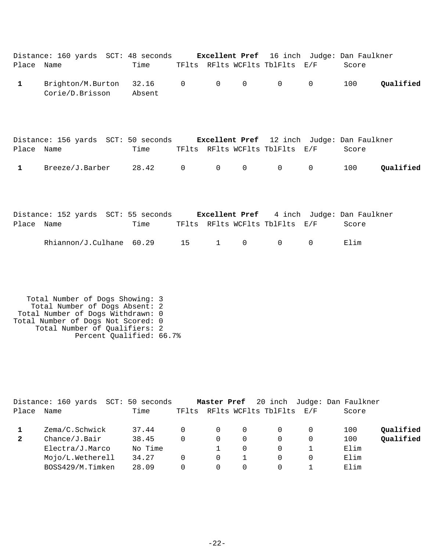| Place Name | Distance: 160 yards SCT: 48 seconds Excellent Pref 16 inch Judge: Dan Faulkner | Time                |                |                |                | TFlts RFlts WCFlts TblFlts E/F                                                      |             | Score |           |
|------------|--------------------------------------------------------------------------------|---------------------|----------------|----------------|----------------|-------------------------------------------------------------------------------------|-------------|-------|-----------|
| 1          | Brighton/M.Burton<br>Corie/D.Brisson                                           | $32.16$ 0<br>Absent |                | $\overline{0}$ | $\overline{0}$ | $\overline{0}$                                                                      | $\mathbf 0$ | 100   | Qualified |
| Place Name | Distance: 156 yards SCT: 50 seconds                                            | Time                |                |                |                | <b>Excellent Pref</b> 12 inch Judge: Dan Faulkner<br>TFlts RFlts WCFlts TblFlts E/F |             | Score |           |
| 1          | Breeze/J.Barber                                                                | 28.42               | $\overline{0}$ | $\overline{0}$ | 0              | $\overline{0}$                                                                      | 0           | 100   | Oualified |

|            | Distance: 152 yards SCT: 55 seconds |      |  |                                |          | <b>Excellent Pref</b> 4 inch Judge: Dan Faulkner |
|------------|-------------------------------------|------|--|--------------------------------|----------|--------------------------------------------------|
| Place Name |                                     | Time |  | TFlts RFlts WCFlts TblFlts E/F |          | Score                                            |
|            | Rhiannon/J.Culhane 60.29 15 1 0 0   |      |  |                                | $\sim$ 0 | Elim                                             |

 Total Number of Dogs Showing: 3 Total Number of Dogs Absent: 2 Total Number of Dogs Withdrawn: 0 Total Number of Dogs Not Scored: 0 Total Number of Qualifiers: 2 Percent Qualified: 66.7%

|       | Distance: 160 yards | SCT: 50 seconds |       | Master Pref |          |                          |   | 20 inch Judge: Dan Faulkner |           |
|-------|---------------------|-----------------|-------|-------------|----------|--------------------------|---|-----------------------------|-----------|
| Place | Name                | Time            | TFlts |             |          | RFlts WCFlts TblFlts E/F |   | Score                       |           |
|       | Zema/C.Schwick      | 37.44           |       |             | $\Omega$ |                          |   | 100                         | Qualified |
| 2     | Change/J.Bair       | 38.45           | 0     |             | 0        |                          | 0 | 100                         | Qualified |
|       | Electra/J.Marco     | No Time         |       |             | $\Omega$ |                          |   | Elim                        |           |
|       | Mojo/L.Wetherell    | 34.27           | 0     |             |          |                          | 0 | Elim                        |           |
|       | BOSS429/M.Timken    | 28.09           | 0     |             | 0        |                          |   | Elim                        |           |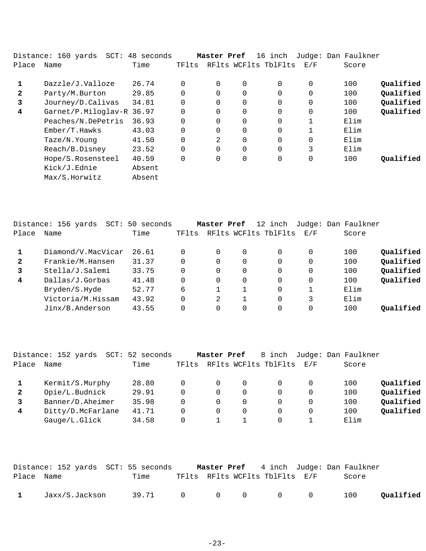|              | Distance: 160 yards  SCT: 48 seconds |        |       | Master Pref    |             | 16 inch              |             | Judge: Dan Faulkner |           |
|--------------|--------------------------------------|--------|-------|----------------|-------------|----------------------|-------------|---------------------|-----------|
| Place        | Name                                 | Time   | TFlts |                |             | RFlts WCFlts TblFlts | E/F         | Score               |           |
| 1            | Dazzle/J.Valloze                     | 26.74  |       | $\Omega$       | $\mathbf 0$ | $\Omega$             | $\Omega$    | 100                 | Qualified |
| $\mathbf{2}$ | Party/M.Burton                       | 29.85  |       | $\Omega$       | $\Omega$    | $\Omega$             | $\Omega$    | 100                 | Qualified |
| 3            | Journey/D.Calivas                    | 34.81  |       | 0              | 0           | 0                    | $\mathbf 0$ | 100                 | Qualified |
| 4            | Garnet/P.Miloglav-R 36.97            |        |       | $\Omega$       | $\Omega$    | $\Omega$             | $\Omega$    | 100                 | Qualified |
|              | Peaches/N.DePetris                   | 36.93  |       | $\Omega$       | $\Omega$    | $\Omega$             | 1           | Elim                |           |
|              | Ember/T.Hawks                        | 43.03  |       | 0              | 0           | 0                    |             | Elim                |           |
|              | Taze/N.Young                         | 41.50  |       | $\mathfrak{D}$ | $\Omega$    | $\Omega$             | $\Omega$    | Elim                |           |
|              | Reach/B.Disney                       | 23.52  |       | $\Omega$       | $\Omega$    | $\Omega$             | 3           | Elim                |           |
|              | Hope/S.Rosensteel                    | 40.59  |       | 0              | $\mathbf 0$ | 0                    | $\mathbf 0$ | 100                 | Oualified |
|              | Kick/J.Ednie                         | Absent |       |                |             |                      |             |                     |           |
|              | Max/S.Horwitz                        | Absent |       |                |             |                      |             |                     |           |

|              | Distance: 156 yards<br>SCT: | 50 seconds |          | Master Pref |   | 12 inch              |     | Judge: Dan Faulkner |           |
|--------------|-----------------------------|------------|----------|-------------|---|----------------------|-----|---------------------|-----------|
| Place        | Name                        | Time       | TFlts    |             |   | RFlts WCFlts TblFlts | E/F | Score               |           |
|              | Diamond/V.MacVicar          | 26.61      |          | $\Omega$    | 0 | $\Omega$             | 0   | 100                 | Qualified |
| $\mathbf{2}$ | Frankie/M.Hansen            | 31.37      |          | $\Omega$    |   | $\Omega$             | 0   | 100                 | Qualified |
| 3            | Stella/J.Salemi             | 33.75      |          | $\Omega$    | 0 | $\Omega$             | 0   | 100                 | Qualified |
| 4            | Dallas/J.Gorbas             | 41.48      | 0        | $\Omega$    |   | $\Omega$             | 0   | 100                 | Qualified |
|              | Bryden/S.Hyde               | 52.77      | 6        |             |   | $\Omega$             |     | Elim                |           |
|              | Victoria/M.Hissam           | 43.92      | $\Omega$ | 2           |   | $\Omega$             | 3   | Elim                |           |
|              | Jinx/B.Anderson             | 43.55      |          |             | 0 | $\Omega$             | 0   | 100                 | Oualified |
|              |                             |            |          |             |   |                      |     |                     |           |

|              | Distance: 152 yards<br>$SCT$ : | 52 seconds |       | Master Pref |          | 8 inch               |     | Judge: Dan Faulkner |           |
|--------------|--------------------------------|------------|-------|-------------|----------|----------------------|-----|---------------------|-----------|
| Place        | Name                           | Time       | TFlts |             |          | RFlts WCFlts TblFlts | E/F | Score               |           |
|              | Kermit/S.Murphy                | 28.80      |       |             | 0        |                      |     | 100                 | Oualified |
| $\mathbf{2}$ | Opie/L.Budnick                 | 29.91      | 0     | 0           | $\Omega$ |                      |     | 100                 | Qualified |
|              | Banner/D.Aheimer               | 35.98      | 0     | 0           | $\Omega$ |                      |     | 100                 | Qualified |
| 4            | Ditty/D.McFarlane              | 41.71      | 0     | 0           | $\Omega$ | 0                    |     | 100                 | Qualified |
|              | Gauge/L.Glick                  | 34.58      |       |             |          | 0                    |     | Elim                |           |

|              |                | Distance: 152 yards  SCT: 55 seconds |                                |  |  | <b>Master Pref</b> 4 inch Judge: Dan Faulkner |           |
|--------------|----------------|--------------------------------------|--------------------------------|--|--|-----------------------------------------------|-----------|
| Place Name   |                | Time                                 | TFlts RFlts WCFlts TblFlts E/F |  |  | Score                                         |           |
| $\mathbf{1}$ | Jaxx/S.Jackson | 39.71 0 0 0 0 0                      |                                |  |  | 100                                           | Oualified |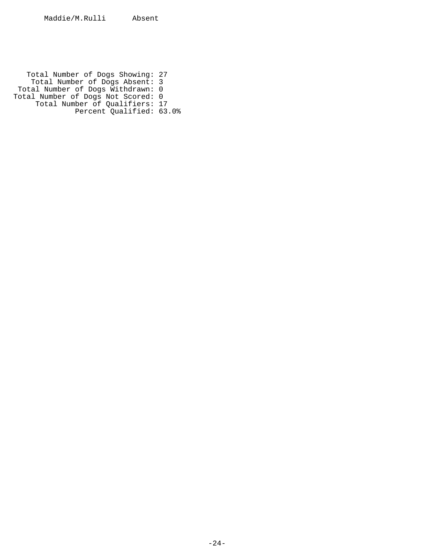Total Number of Dogs Showing: 27 Total Number of Dogs Absent: 3 Total Number of Dogs Withdrawn: 0 Total Number of Dogs Not Scored: 0 Total Number of Qualifiers: 17 Percent Qualified: 63.0%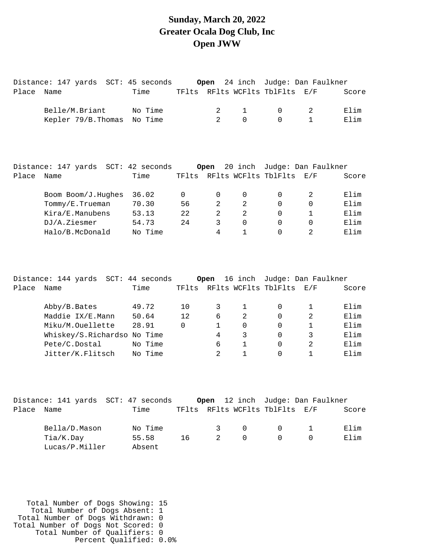#### **Sunday, March 20, 2022 Greater Ocala Dog Club, Inc Open JWW**

|            | Distance: 147 yards SCT: 45 seconds Open 24 inch Judge: Dan Faulkner |      |   |                |                                |       |
|------------|----------------------------------------------------------------------|------|---|----------------|--------------------------------|-------|
| Place Name |                                                                      | Time |   |                | TFlts RFlts WCFlts TblFlts E/F | Score |
|            | Belle/M.Briant No Time                                               |      |   | 2 1            | $0\qquad \qquad 2$             | Elim  |
|            | Kepler 79/B. Thomas No Time                                          |      | 2 | $\overline{0}$ | $0 \qquad \qquad 1$            | Elim  |
|            |                                                                      |      |   |                |                                |       |
|            |                                                                      |      |   |                |                                |       |
|            |                                                                      |      |   |                |                                |       |

|       | Distance: 147 yards | SCT: 42 seconds |       | Open     |          | 20 inch Judge: Dan Faulkner |     |       |
|-------|---------------------|-----------------|-------|----------|----------|-----------------------------|-----|-------|
| Place | Name                | Time            | TFlts |          |          | RFlts WCFlts TblFlts        | E/F | Score |
|       | Boom Boom/J.Hughes  | 36.02           |       | $\Omega$ |          | 0                           |     | Elim  |
|       | Tommy/E.Trueman     | 70.30           | 56    | 2        | 2        | 0                           |     | Elim  |
|       | Kira/E.Manubens     | 53.13           | 22    |          | 2        | 0                           |     | Elim  |
|       | DJ/A.Ziesmer        | 54.73           | 24    | 3        | $\Omega$ | 0                           |     | Elim  |
|       | Halo/B.McDonald     | No Time         |       | 4        |          | 0                           |     | Elim  |
|       |                     |                 |       |          |          |                             |     |       |

|       | Distance: 144 yards         | SCT: 44 seconds |          | Open |   | 16 inch Judge: Dan Faulkner |               |       |
|-------|-----------------------------|-----------------|----------|------|---|-----------------------------|---------------|-------|
| Place | Name                        | Time            |          |      |   | TFlts RFlts WCFlts TblFlts  | E/F           | Score |
|       | Abby/B.Bates                | 49.72           | 10       | 3    |   |                             |               | Elim  |
|       | Maddie IX/E.Mann            | 50.64           | 12       | 6    | 2 |                             | $\mathcal{L}$ | Elim  |
|       | Miku/M.Ouellette            | 28.91           | $\Omega$ |      | 0 | 0                           |               | Elim  |
|       | Whiskey/S.Richardso No Time |                 |          | 4    | 3 | 0                           |               | Elim  |
|       | Pete/C.Dostal               | No Time         |          | 6    |   |                             | $\mathcal{L}$ | Elim  |
|       | Jitter/K.Flitsch            | No Time         |          | 2    |   |                             |               | Elim  |

|       | Distance: 141 yards SCT: 47 seconds |         |    |               |           | Open 12 inch Judge: Dan Faulkner |       |
|-------|-------------------------------------|---------|----|---------------|-----------|----------------------------------|-------|
| Place | Name                                | Time    |    |               |           | TFlts RFlts WCFlts TblFlts E/F   | Score |
|       | Bella/D.Mason                       | No Time |    | $\mathcal{R}$ | $\cap$    | $0 \qquad \qquad 1$              | Elim  |
|       | Tia/K.Day                           | 55.58   | 16 | 2             | $\bigcap$ | $\Omega$                         | Elim  |
|       | Lucas/P.Miller                      | Absent  |    |               |           |                                  |       |

 Total Number of Dogs Showing: 15 Total Number of Dogs Absent: 1 Total Number of Dogs Withdrawn: 0 Total Number of Dogs Not Scored: 0 Total Number of Qualifiers: 0 Percent Qualified: 0.0%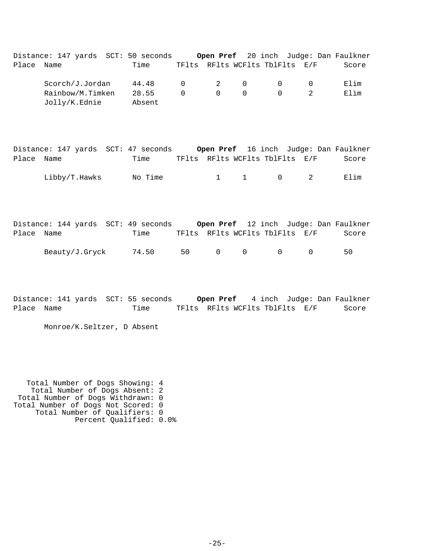Distance: 147 yards SCT: 50 seconds **Open Pref** 20 inch Judge: Dan Faulkner Place Name Time TFlts RFlts WCFlts TblFlts E/F Score Scorch/J.Jordan 44.48 0 2 0 0 0 Elim Rainbow/M.Timken 28.55 0 0 0 0 2 Elim Jolly/K.Ednie Absent

|            | Distance: 147 yards SCT: 47 seconds |         |                                |         |  | <b>Open Pref</b> 16 inch Judge: Dan Faulkner |
|------------|-------------------------------------|---------|--------------------------------|---------|--|----------------------------------------------|
| Place Name |                                     | Time    | TFlts RFlts WCFlts TblFlts E/F |         |  | Score                                        |
|            | Libby/T.Hawks                       | No Time |                                | 1 1 0 2 |  | Elim                                         |

|            | Distance: 144 yards SCT: 49 seconds |       |    |           |        |                                | <b>Open Pref</b> 12 inch Judge: Dan Faulkner |
|------------|-------------------------------------|-------|----|-----------|--------|--------------------------------|----------------------------------------------|
| Place Name |                                     | Time  |    |           |        | TFlts RFlts WCFlts TblFlts E/F | Score                                        |
|            | Beauty/J.Gryck                      | 74.50 | 50 | $\bigcap$ | $\cap$ | - 0                            | 50.                                          |

Distance: 141 yards SCT: 55 seconds **Open Pref** 4 inch Judge: Dan Faulkner Place Name Time TFlts RFlts WCFlts TblFlts E/F Score

Monroe/K.Seltzer, D Absent

 Total Number of Dogs Showing: 4 Total Number of Dogs Absent: 2 Total Number of Dogs Withdrawn: 0 Total Number of Dogs Not Scored: 0 Total Number of Qualifiers: 0 Percent Qualified: 0.0%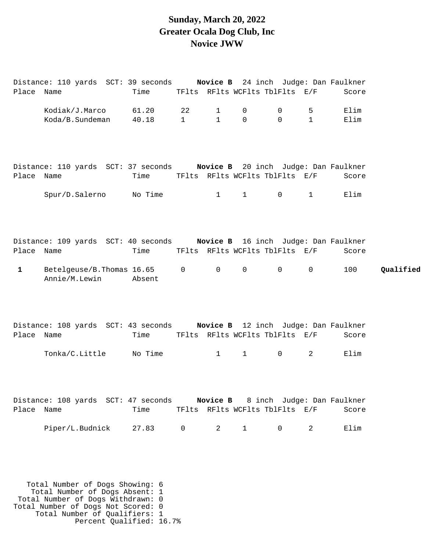#### **Sunday, March 20, 2022 Greater Ocala Dog Club, Inc Novice JWW**

| Place Name                | Distance: 110 yards SCT: 39 seconds Novice B 24 inch Judge: Dan Faulkner                                                  | Time            |                    |                              |                            | TFlts RFlts WCFlts TblFlts E/F                 |                   | Score         |           |
|---------------------------|---------------------------------------------------------------------------------------------------------------------------|-----------------|--------------------|------------------------------|----------------------------|------------------------------------------------|-------------------|---------------|-----------|
|                           | Kodiak/J.Marco<br>Koda/B.Sundeman                                                                                         | 61.20<br>40.18  | 22<br>$\mathbf{1}$ | $\mathbf{1}$<br>$\mathbf{1}$ | $\mathbf 0$<br>$\mathbf 0$ | $\mathsf{O}$<br>$\mathsf{O}$                   | 5<br>$\mathbf{1}$ | Elim<br>Elim  |           |
| Place Name                | Distance: 110 yards SCT: 37 seconds Novice B 20 inch Judge: Dan Faulkner                                                  | Time            |                    |                              |                            | TFlts RFlts WCFlts TblFlts E/F                 |                   | Score         |           |
|                           | Spur/D.Salerno No Time                                                                                                    |                 |                    | $\mathbf{1}$                 | $1 \quad \blacksquare$     | $\overline{0}$                                 | $\mathbf{1}$      | Elim          |           |
| Place Name<br>$\mathbf 1$ | Distance: 109 yards SCT: 40 seconds Novice B 16 inch Judge: Dan Faulkner<br>Betelgeuse/B. Thomas 16.65 0<br>Annie/M.Lewin | Time<br>Absent  |                    | $\overline{0}$               | $\mathsf{O}$               | TFlts RFlts WCFlts TblFlts E/F<br>$\mathsf{O}$ | $\mathsf 0$       | Score<br>100  | Qualified |
| Place Name                | Distance: 108 yards SCT: 43 seconds Novice B 12 inch Judge: Dan Faulkner<br>Tonka/C.Little                                | Time<br>No Time |                    | $\mathbf{1}$                 | $\mathbf{1}$               | TFlts RFlts WCFlts TblFlts E/F<br>$\mathsf{O}$ | $\overline{a}$    | Score<br>Elim |           |
| Place Name                | Distance: 108 yards SCT: 47 seconds Novice B 8 inch Judge: Dan Faulkner                                                   | Time            |                    |                              |                            | TFlts RFlts WCFlts TblFlts E/F                 |                   | Score         |           |
|                           | Piper/L.Budnick                                                                                                           | 27.83           | $\mathbf 0$        | $\overline{a}$               | $1 \quad \blacksquare$     | $\overline{0}$                                 | $\overline{a}$    | Elim          |           |
|                           | Total Number of Dogs Showing: 6                                                                                           |                 |                    |                              |                            |                                                |                   |               |           |

 Total Number of Dogs Absent: 1 Total Number of Dogs Withdrawn: 0

- Total Number of Dogs Not Scored: 0
- Total Number of Qualifiers: 1
	- Percent Qualified: 16.7%